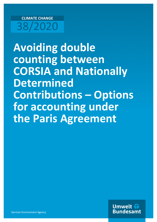# **CLIMATE CHANGE** 38/2020

**Avoiding double counting between CORSIA and Nationally Determined Contributions – Options for accounting under the Paris Agreement**

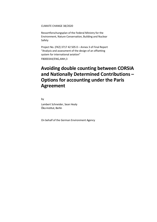CLIMATE CHANGE 38/2020

Ressortforschungsplan of the Federal Ministry for the Environment, Nature Conservation, Building and Nuclear Safety

Project No. (FKZ) 3717 42 505 0 – Annex 3 of Final Report "Analysis and assessment of the design of an offsetting system for international aviation" FB000344/ENG,ANH,3

# **Avoiding double counting between CORSIA and Nationally Determined Contributions – Options for accounting under the Paris Agreement**

by

Lambert Schneider, Sean Healy Öko-Institut, Berlin

On behalf of the German Environment Agency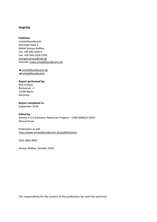#### **Imprint**

#### **Publisher**

Umweltbundesamt Wörlitzer Platz 1 06844 Dessau-Roßlau Tel: +49 340-2103-0 Fax: +49 340-2103-2285 [buergerservice@uba.de](mailto:buergerservice@uba.de)  Internet: [www.umweltbundesamt.de](https://lambertschneider-my.sharepoint.com/personal/lambertschneider_lambertschneider_onmicrosoft_com/Documents/Lambert/Projekte/UBA%20CORSIA/PRODUCT%203%20(various%20issues)/www.umweltbundesamt.de)

#### /umweltbundesamt.de /umweltbundesamt

#### **Report performed by:**

Öko-Institut Borkumstr. 2 13189 Berlin Germany

#### **Report completed in:**

September 2018

#### **Edited by:**

Section V 2.6 Emissions Reduction Projects – CDM (DNA)/JI (DFP) Marcel Kruse

Publication as pdf: <http://www.umweltbundesamt.de/publikationen>

ISSN 1862-4804

Dessau-Roßlau, October 2020

The responsibility for the content of this publication lies with the author(s).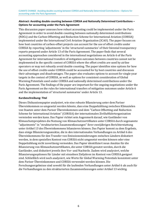#### **Abstract: Avoiding double counting between CORSIA and Nationally Determined Contributions – Options for accounting under the Paris Agreement**

This discussion paper assesses how robust accounting could be implemented under the Paris Agreement in order to avoid double counting between nationally determined contributions (NDCs) and the Carbon Offsetting and Reduction Scheme for International Aviation (CORSIA) implemented under the International Civil Aviation Organization (ICAO). The paper focuses on how host countries of carbon-offset projects can account for the use of offset credits under CORSIA by reporting 'adjustments' in the 'structured summaries' of their biennial transparency reports prepared under Article 13 of the Paris Agreement. The paper finds that several accounting approaches considered in the international negotiations on Article 6 of the Paris Agreement for international transfers of mitigation outcomes between countries cannot not be implemented in the specific context of CORSIA where the offset credits are used by airline operators or may not robustly avoid double counting. The paper identifies nine options for how the use of offset credits under CORSIA could be accounted for by host countries and discusses their advantages and disadvantages. The paper also evaluates options to account for single-year targets in the context of CORSIA, as well as options for consistent consideration of Global Warming Potentials used under CORSIA and nationally determined contributions under the Paris Agreement. The findings of the paper are important for the ongoing negotiations under the Paris Agreement on the rules for international transfers of mitigation outcomes under Article 6 and the implementation of 'structured summaries' under Article 13.

#### **Kurzbeschreibung: Titel**

Dieses Diskussionspapier analysiert, wie eine robuste Bilanzierung unter dem Pariser Übereinkommen so umgesetzt werden könnte, dass eine Doppelzählung zwischen Klimazielen von Staaten unter dem Pariser Übereinkommen und dem "Carbon Offsetting and Reduction Scheme for International Aviation" (CORSIA) der internationalen Zivilluftfahrtorganisation vermieden werden kann. Das Papier richtet sein Augenmerk darauf, wie Gastländer von Klimaschutzprojekten die Nutzung von Klimaschutzzertifikaten unter CORSIA durch sogenannte "adjustments" in "strukturierten Zusammenfassungen" ihrer zweijährigen Berichterstattung unter Artikel 13 des Übereinkommens bilanzieren können. Das Papier kommt zu dem Ergebnis, dass einige Bilanzierungsansätze, die in den internationalen Verhandlungen zu Artikel 6 des Übereinkommens für den Transfer von Emissionsminderungen zwischen Ländern diskutiert werden, in dem speziellen Kontext von CORSIA nicht umgesetzt werden können oder eine Doppelzählung nicht zuverlässig vermeiden. Das Papier identifiziert neun Ansätze für die Bilanzierung von Klimaschutzzertifikaten, die unter CORSIA genutzt werden, durch die Gastländer, und diskutiert jeweils ihre Vor- und Nachteile. Zudem wird analysiert, welche Bilanzierungsoptionen für Länder mit einzelnen Zieljahren im Kontext von CORSIA geeignet sind. Schließlich wird noch analysiert, wie Werte für Global Warming Potentials konsistent unter dem Pariser Übereinkommen und CORSIA verwendet werden können. Die Forschungsergebnisse sind sowohl für die laufenden Verhandlungen unter Artikel 6 als auch für die Verhandlungen zu den strukturierten Zusammenfassungen unter Artikel 13 wichtig.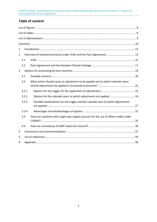# **Table of content**

| $\mathbf{1}$   |       |                                                                                        |  |  |  |  |  |  |  |  |  |  |
|----------------|-------|----------------------------------------------------------------------------------------|--|--|--|--|--|--|--|--|--|--|
| $\overline{2}$ |       |                                                                                        |  |  |  |  |  |  |  |  |  |  |
|                | 2.1   |                                                                                        |  |  |  |  |  |  |  |  |  |  |
|                | 2.2   |                                                                                        |  |  |  |  |  |  |  |  |  |  |
| 3              |       |                                                                                        |  |  |  |  |  |  |  |  |  |  |
|                | 3.1   |                                                                                        |  |  |  |  |  |  |  |  |  |  |
|                | 3.2   | What action should cause an adjustment to be applied and to which calendar years       |  |  |  |  |  |  |  |  |  |  |
|                | 3.2.1 |                                                                                        |  |  |  |  |  |  |  |  |  |  |
|                | 3.2.2 | Options for the calendar years to which adjustments are applied  24                    |  |  |  |  |  |  |  |  |  |  |
|                | 3.2.3 | Possible combinations for the trigger and the calendar year to which adjustments       |  |  |  |  |  |  |  |  |  |  |
|                | 3.2.4 |                                                                                        |  |  |  |  |  |  |  |  |  |  |
|                | 3.3   | How can countries with single-year targets account for the use of offset credits under |  |  |  |  |  |  |  |  |  |  |
|                | 3.4   |                                                                                        |  |  |  |  |  |  |  |  |  |  |
| 4              |       |                                                                                        |  |  |  |  |  |  |  |  |  |  |
| 5              |       |                                                                                        |  |  |  |  |  |  |  |  |  |  |
| Α              |       |                                                                                        |  |  |  |  |  |  |  |  |  |  |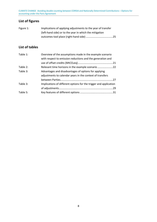CLIMATE CHANGE Avoiding double counting between CORSIA and Nationally Determined Contributions – Options for accounting under the Paris Agreement

# <span id="page-6-0"></span>**List of figures**

| Figure 1: | Implications of applying adjustments to the year of transfer |  |
|-----------|--------------------------------------------------------------|--|
|           | (left-hand side) or to the year in which the mitigation      |  |
|           |                                                              |  |

### <span id="page-6-1"></span>**List of tables**

| Overview of the assumptions made in the example scenario          |  |
|-------------------------------------------------------------------|--|
| with respect to emission reductions and the generation and        |  |
|                                                                   |  |
| Relevant time horizons in the example scenario                    |  |
| Advantages and disadvantages of options for applying              |  |
| adjustments to calendar years in the context of transfers         |  |
|                                                                   |  |
| Implications of different options for the trigger and application |  |
|                                                                   |  |
|                                                                   |  |
|                                                                   |  |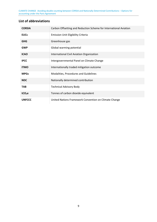CLIMATE CHANGE Avoiding double counting between CORSIA and Nationally Determined Contributions – Options for accounting under the Paris Agreement

# <span id="page-7-0"></span>**List of abbreviations**

| <b>CORSIA</b>      | Carbon Offsetting and Reduction Scheme for International Aviation |
|--------------------|-------------------------------------------------------------------|
| <b>EUCs</b>        | <b>Emission Unit Eligibility Criteria</b>                         |
| <b>GHG</b>         | Greenhouse gas                                                    |
| <b>GWP</b>         | Global warming potential                                          |
| <b>ICAO</b>        | International Civil Aviation Organization                         |
| <b>IPCC</b>        | Intergovernmental Panel on Climate Change                         |
| <b>ITMO</b>        | Internationally traded mitigation outcome                         |
| <b>MPGs</b>        | Modalities, Procedures and Guidelines                             |
| <b>NDC</b>         | Nationally determined contribution                                |
| <b>TAB</b>         | <b>Technical Advisory Body</b>                                    |
| tCO <sub>2</sub> e | Tonnes of carbon dioxide equivalent                               |
| <b>UNFCCC</b>      | United Nations Framework Convention on Climate Change             |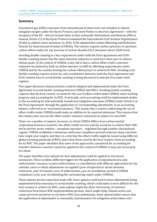### <span id="page-8-0"></span>**Summary**

Greenhouse gas (GHG) emissions from international aviation were not included in climate mitigation targets under the Kyoto Protocol, and most Parties to the Paris Agreement – with the exception of the EU – did not include them in their nationally determined contributions (NDCs). Instead, Article 2.2 of the Kyoto Protocol mandated the International Civil Aviation Organization (ICAO) to address these emissions. In 2016, ICAO adopted the Carbon Offsetting and Reduction Scheme for International Aviation (CORSIA). The scheme requires airline operators to purchase carbon offset credits for any increase of carbon dioxide  $(CO<sub>2</sub>)$  emissions above 2020 levels.

Avoiding double counting is a key requirement under both the Paris Agreement and ICAO. Double counting means that the same emission reduction is used more than once to achieve climate goals. In the context of CORSIA, a key risk is that a carbon offset credit's emission reduction be claimed by both an airline operator to fulfil its offsetting requirements under CORSIA and by the country hosting the carbon-offset project to achieve its NDC. Avoiding such double counting requires action by, and coordination between, both the Paris Agreement and ICAO. Indeed, how to avoid double counting is being discussed in relevant fora under both regimes.

This paper discusses what provisions could be adopted and implemented under the Paris Agreement to avoid double counting between CORSIA and NDCs. Avoiding double counting requires that the host country accounts for the use of offset credits under CORSIA when tracking progress and accounting for its NDC. In principle, such accounting could be implemented similar to the accounting for internationally transferred mitigation outcomes (ITMOs) under Article 6 of the Paris Agreement, through the application of 'corresponding adjustments' in an accounting balance, referred to as 'structured summary'. This means that a country authorizing the use of offset credits under CORSIA would make an addition to its reported emissions. This ensures that the country does not use the offset credit's emission reductions to achieve its own NDC.

There are a number of aspects, however, in which CORSIA differs from carbon market cooperation between countries: the offset credits are not used by countries to achieve their NDC but by private sector entities – aeroplane operators – regulated through another international regime; CORSIA establishes continuous multi-year compliance periods whereas many countries have single-year targets; and there is a risk that the offset credits might be issued using different global warming potentials (GWP) values than those used by the host country when accounting for its NDC. The paper identifies that some of the approaches considered for accounting for transfers between countries cannot be applied in the context of CORSIA or may not necessarily be robust.

The paper identifies nine options for how adjustments could be applied in structured summaries. These combine different triggers for the application of adjustments (ex-ante authorization, issuance, ex-post authorization, or cancellation) with different approaches for the calendar years to which adjustments are applied (year of expected or actual emission reductions, year of issuance, year of authorization, year of cancellation, period of CORSIA compliance cycle, year of submitting the surrendering report under CORSIA).

These options involve important trade-offs. Some options could lead to more adjustments being implemented than necessary to avoid double counting, which could make it more difficult for the host country to achieve its NDC; some options implicitly allow 'borrowing' of emission reductions from future NDC implementation periods, which might delay climate action and create perverse incentives to set future NDCs less ambitiously; some options better ensure that the application of adjustments is reasonably representative for mitigation action taken over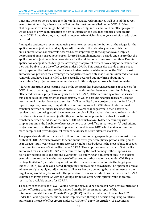time; and some options require to either update structured summaries well beyond the target year or to set limits by when issued offset credits must be cancelled under CORSIA. Other challenges also exist but might be addressed more easily, such as that carbon-offset programs would need to provide information to host countries on the issuance and use offset credits under CORSIA and that they may need to determine in which calendar year emission reductions occurred.

Among the options, we recommend using ex-ante or ex-post authorization as the trigger for the application of adjustments and applying adjustments to the calendar years in which the emission reductions or removals occurred. Most importantly, these options avoid implicit borrowing of emission reductions from future NDC implementation periods and ensure that the application of adjustments is representative for the mitigation action taken over time. Ex-ante application of adjustments brings the advantage that project owners have early on certainty that they will be able to use the offset credits under CORSIA. This option also avoids timing issues with preparing the final accounting balance to demonstrate achievement of the NDC. Ex-post authorization provides the advantage that adjustments are only made for emission reductions or removals that have been verified to have actually occurred but may bring about more uncertainty for project owners whether they will ultimately get approval by host countries.

A further important cross-cutting issue is the compatibility between accounting approaches for CORSIA and accounting approaches for international transfers between countries. As long as the offset credits from a project are only used under CORSIA, all the accounting options discussed in this paper could be implemented irrespectively of which accounting approaches are used for international transfers between countries. If offset credits from a project are authorized for all type of purposes, however, compatibility of accounting rules for CORSIA and international transfers between countries becomes an issue. Several challenges would then have to be resolved and accounting would become more complex. Policy-makers thus need to bear in mind that there is trade-off between (a) limiting authorization of projects to either international transfers between countries or use under CORSIA, which allows to keep accounting rules simpler but limits the flexibility of project owners to serve different markets, or (b) authorizing projects for any use other than the implementation of its own NDC, which makes accounting more complex but provides project owners flexibility to serve different markets.

The paper also identifies that not all options to account for single-year targets are robust in the context of CORSIA, which provides for continuous three-year compliance periods. Using multiyear targets, multi-year emission trajectories or multi-year budgets is the most robust approach to account for the use offset credits under CORSIA. These options ensure that all offset credits authorized for use under CORSIA are accounted for by the host country. If these options are politically not palatable, the options 'averaging' (i.e. applying an adjustment only in the target year which corresponds to the average of offset credits authorized or used under CORSIA) or 'vintage limitation' (i.e. only using offset credits from emission reductions in the target year under CORSIA) could be considered, though they involve some drawbacks. The option of 'annual adjustments' (i.e. applying adjustments to all years but only counting those adjustments in the target year) would only be robust if the generation of emission reductions for use under CORSIA is limited to target years. As with the vintage limitation option, this option would therefore restrict the available supply for CORSIA.

To ensure consistent use of GWP values, accounting would be simplest if both host countries and carbon-offsetting programs use the values from the  $5<sup>th</sup>$  assessment report of the Intergovernmental Panel on Climate Change (IPCC) for the period after 31 December 2020. Under the Paris Agreement, this could be implemented through a decision requiring countries authorizing the use of offset credits under CORSIA to (i) apply the Article 4.13 accounting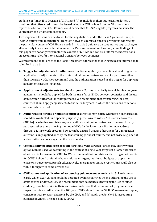guidance in Annex II to decision 4/CMA.1 and (ii) to include in their authorization letters a condition that offset credits must be issued using the GWP values from the 5th assessment report. In addition, the ICAO Council could decide that CORSIA eligible programs must use the values from the 5th assessment report.

Two important lessons can be drawn for the negotiations under the Paris Agreement. First, as CORSIA differs from international transfers between countries, specific provisions addressing the particular context of CORSIA are needed in Article 6 guidance on cooperative approaches, or alternatively in a separate decision under the Paris Agreement. And second, some findings of this paper are not only relevant for the context of CORSIA but can also inform the negotiations on accounting rules for international transfers between countries.

We recommend that Parties to the Paris Agreement address the following issues in international rules for Article 6:

- ► **Trigger for adjustments for other uses:** Parties may clarify what action should trigger the application of adjustments in the context of mitigation outcomes used for purposes other than towards NDCs. We recommend that the authorization is used as the trigger for applying adjustments in such instances.
- ► **Application of adjustments to calendar years:** Parties may clarify to which calendar years adjustments should be applied for both the transfer of ITMOs between countries and the use of mitigation outcomes for other purposes. We recommend that transferring (or host) countries should apply adjustments to the calendar years in which the emission reductions or removals occurred.
- ► **Authorization for one or multiple purposes:** Parties may clarify whether an authorization should be conducted for a specific purpose (e.g. use towards other NDCs or use towards CORSIA) or whether countries may also authorize mitigation outcomes to be used for any purposes other than achieving their own NDCs. In the latter case, Parties may address through a future work program how it can be ensured that an adjustment for a mitigation outcome is only applied once by the transferring (or host) country and not twice (e.g. once at authorization and once again at the first transfer).
- ► **Compatibility of options to account for single-year targets:** Parties may clarify which options can be used for accounting in the context of single-year targets if a Party authorizes offset credits for use under CORSIA. We recommend that countries authorizing offset credits for CORSIA should preferably have multi-year targets, multi-year budgets or apply the emissions trajectory approach. Alternatively, averaging or vintage restrictions could also be viable, though with some drawbacks.
- ► **GWP values and application of accounting guidance under Article 4.13:** Parties may clarify which GWP values should be accepted by host countries when authorizing the use of offset credits under CORSIA. We recommend that countries authorizing the use of offset credits (i) should require in their authorization letters that carbon-offset programs issue respective offset credits using the 100-year GWP values from the 5th IPCC assessment report, consistent with relevant decisions by the CMA, and (ii) apply the Article 4.13 accounting guidance in Annex II to decision 4/CMA.1.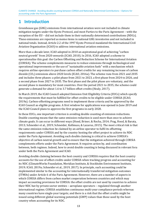CLIMATE CHANGE Avoiding double counting between CORSIA and Nationally Determined Contributions – Options for accounting under the Paris Agreement

# <span id="page-11-0"></span>**1 Introduction**

Greenhouse gas (GHG) emissions from international aviation were not included in climate mitigation targets under the Kyoto Protocol, and most Parties to the Paris Agreement – with the exception of the EU – did not include them in their nationally determined contributions (NDCs). These emissions are reported as memo items in national GHG inventories and not included in national totals. Instead, Article 2.2 of the 1997 Kyoto Protocol mandated the International Civil Aviation Organization (ICAO) to address international aviation emissions.

More than a decade later, ICAO adopted in 2010 an aspirational goal of achieving "carbon neutral growth" from 2020 onwards (ICAO, 2010). In 2016, ICAO adopted a scheme to operationalize this goal: the Carbon Offsetting and Reduction Scheme for International Aviation (CORSIA). The scheme complements measures to reduce emissions through technological and operational improvements or the use of "sustainable aviation fuels" with a mechanism which requires airline operators to purchase carbon offset credits for any remaining increase of carbon dioxide (CO2) emissions above 2020 levels (ICAO, 2016a). The scheme runs from 2021 and 2035 and includes three phases: a pilot phase from 2021 to 2023, a first phase from 2024 to 2026, and a second phase from 2027 to 2035. The first phase and the pilot phase are voluntary, and the second phase is mandatory for most countries. Over the period 2021 to 2035, the scheme could generate a demand for about 1.6 to 3.7 billion offset credits (Healy, 2017).

In March 2019, the ICAO Council adopted Emission Unit Eligibility Criteria (EUCs) which specify the requirements that must be fulfilled for offset credits to be eligible under CORSIA (ICAO, 2019a). Carbon-offsetting programs need to implement these criteria and be approved by the ICAO Council as eligible programs. A first window for applications was opened in June 2019 and the ICAO Council plans to approve the first programs in early 2020.

In these EUCs, one important criterion is avoiding double counting of emission reductions. Double counting means that the same emission reduction is used more than once to achieve climate goals. It can occur in different ways (Hood, Briner, & Rocha, 2014; Prag, Hood, & Barata, 2013; Schneider et al., 2019; Schneider, Kollmuss, & Lazarus, 2015). The most critical risk is that the same emission reduction be claimed by an airline operator to fulfil its offsetting requirements under CORSIA and by the country hosting the offset project to achieve its NDC under the Paris Agreement. Avoiding such double claiming is critical to achieve CORSIA's objective of carbon neutral growth and to ensure that the mitigation achieved through CORSIA complements efforts under the Paris Agreement. It requires action by, and coordination between, both regimes. Indeed, how to avoid double counting is being discussed in relevant fora under both the Paris Agreement and ICAO.

Avoiding double claiming between the host country and CORSIA requires that the host country accounts for the use of offset credits under CORSIA when tracking progress and accounting for its NDC (ClimateWorks Foundation, Meridian Institute, & Stockholm Environment Institute, 2019; ICAO, 2019a; Schneider et al., 2019, 2017). In principle, such accounting could be implemented similar to the accounting for internationally transferred mitigation outcomes (ITMOs) under Article 6 of the Paris Agreement. However, there are a number of aspects in which CORSIA differs from carbon market cooperation between countries and which may impact accounting provisions for CORSIA: the offset credits are not used by countries to achieve their NDC but by private sector entities – aeroplane operators – regulated through another international regime; CORSIA establishes continuous multi-year compliance periods whereas many countries have single-year targets; and there is a risk that the offset credits might be issued using different global warming potentials (GWP) values than those used by the host country when accounting for its NDC.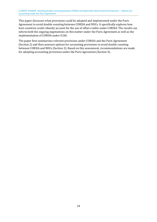This paper discusses what provisions could be adopted and implemented under the Paris Agreement to avoid double counting between CORSIA and NDCs. It specifically explores how host countries could robustly account for the use of offset credits under CORSIA. The results can inform both the ongoing negotiations on this matter under the Paris Agreement as well as the implementation of CORSIA under ICAO.

The paper first summarizes relevant provisions under CORSIA and the Paris Agreement (Section 2) and then assesses options for accounting provisions to avoid double counting between CORSIA and NDCs (Section 3). Based on this assessment, recommendations are made for adopting accounting provisions under the Paris Agreement (Section 4).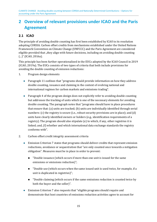# <span id="page-13-0"></span>**2 Overview of relevant provisions under ICAO and the Paris Agreement**

# <span id="page-13-1"></span>**2.1 ICAO**

The principle of avoiding double counting has first been established by ICAO in its resolution adopting CORSIA. Carbon offset credits from mechanisms established under the United Nations Framework Convention on Climate Change (UNFCCC) and the Paris Agreement are considered eligible provided that "they align with future decisions, including on avoiding double counting (...)" (ICAO, 2016a).

This principle has been further operationalized in the EUCs adopted by the ICAO Council in 2019 (ICAO, 2019a). The EUCs consists of two types of criteria that both include provisions for avoiding the double counting of emission reductions:

- 1. Program design elements
	- Paragraph 11 outlines that "programs should provide information on how they address double counting, issuance and claiming in the context of evolving national and international regimes for carbon markets and emissions trading".
	- Paragraph 4 of the program design does not explicitly refer to avoiding double counting but addresses the tracking of units which is one of the necessary elements for avoiding double counting. The paragraph notes that "programs should have in place procedures that ensure that: (a) units are tracked; (b) units are individually identified through serial numbers: (c) the registry is secure (i.e., robust security provisions are in place); and (d) units have clearly identified owners or holders (e.g., identification requirements of a registry). The program should also stipulate (e) to which, if any, other registries it is linked; and, (f) whether and which international data exchange standards the registry conforms with".

#### 2. Carbon offset credit integrity assessment criteria

- Emission Criterion 7 states that programs should deliver credits that represent emission reductions, avoidance or sequestration that "are only counted once towards a mitigation obligation". Measures must be in place in order to prevent:
	- "Double issuance (which occurs if more than one unit is issued for the same emissions or emissions reduction)";
	- "Double use (which occurs when the same issued unit is used twice, for example, if a unit is duplicated in registries)";
	- **Deuman** Upouble claiming (which occurs if the same emissions reduction is counted twice by both the buyer and the seller)".
- Emission Criterion 7 also requests that "eligible programs should require and demonstrate that host countries of emissions reduction activities agree to account for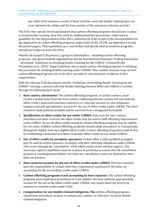any offset units issued as a result of those activities such that double claiming does not occur between the airline and the host country of the emissions reduction activity".

The EUCs thus specify the broad elements that carbon-offsetting programs should have in place to avoid double counting. How this could be implemented has been further elaborated in guidelines for the interpretation of the EUCs, published by ICAO as part of the documentation for the application of carbon-offsetting programs under ICAO (ICAO, 2019b, see Appendix A to this discussion paper). These guidelines go a step further and specify what procedures programs should put in place to meet the EUCs.

Outside the formal ICAO process, a group of stakeholders – including carbon-offsetting programs, non-governmental organizations and the International Emissions Trading Association – developed "Guidelines on Avoiding Double Counting for the CORSIA" (ClimateWorks Foundation et al., 2019). These Guidelines aim to assist carbon-offsetting programs in satisfying the provisions for avoiding double counting under CORSIA. They include concrete steps on how carbon-offsetting programs can revise their procedures and standards to address ICAO's requirements.

Both the relevant ICAO documents and the "Guidelines on Avoiding Double Counting for the CORSIA" envisage a process whereby double claiming between NDCs and CORSIA is avoided through the following basic steps:

- 1. **Host country attestations:** The carbon-offsetting programs, or project owners, must receive a formal letter from the host country confirming that the country will not claim the offset credit's associated emission reductions or removals towards its own mitigation target(s) and will appropriately account for the use of offset credits under CORSIA. The letter should be made publicly available and be received from a designated focal point.
- 2. **Qualification of offset credits for use under CORSIA:** Only once the host country attestation has been received, the offset credits may be used to fulfil offsetting requirements under CORSIA. As not all offset credits issued by carbon-offsetting programs may be eligible for use under CORSIA, carbon-offsetting programs should adopt procedures to transparently distinguish eligible from non-eligible offset credits. Carbon-offsetting programs could do this by establishing a dedicated procedure to qualify offset credits for use under CORSIA.
- 3. **Use of offset credits by aeroplane operators:** Carbon offset credits qualified as eligible may be used by airline operators to comply with their offsetting obligations under CORSIA. This occurs through the 'cancellation' of the offset credits in the relevant registry. The necessary registry capabilities must be in place, in particular to ensure that the cancellation purpose is unambiguously defined, such that one cancellation cannot be claimed for more than one purpose.
- 4. **Host countries account for the use of offset credits under CORSIA:** The host countries have the responsibility to comply with their commitment expressed in the letter, by accounting for the use of offset credits under CORSIA.
- 5. **Carbon-offsetting programs track accounting by host countries:** The carbon-offsetting programs must implement procedures to track whether the host countries appropriately account for the use of the offset credits under CORSIA. Any issues observed need to be reported to relevant bodies under ICAO.
- 6. **Compensation for any double-claimed mitigation: The** carbon-offsetting programs should have procedures in place to compensate, replace, or otherwise reconcile doubleclaimed mitigation.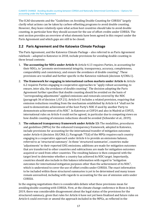The ICAO documents and the "Guidelines on Avoiding Double Counting for CORSIA" largely clarify what actions can be taken by carbon-offsetting programs to avoid double counting. However, they leave relatively open what action host countries should take to avoid double counting, in particular how they should account for the use of offset credits under CORSIA. The next section provides an overview of what elements have been agreed in this respect under the Paris Agreement and which gaps are still to be closed.

### <span id="page-15-0"></span>**2.2 Paris Agreement and the Katowice Climate Package**

The Paris Agreement, and the Katowice Climate Package – also referred to as Paris Agreement rulebook – adopted in Katowice in 2018, include provisions for avoiding double counting in three broad contexts:

- 1. **The accounting for NDCs under Article 4:** Article 4.13 requires Parties, in accounting for their NDCs, to "promote environmental integrity, transparency, accuracy, completeness, comparability and consistency, and ensure the avoidance of double counting". These provisions are recalled and further specific in the Katowice rulebook (decision 4/CMA.1).
- 2. **The framework for engaging in international carbon markets under Article 6:** Article 6.2 requires Parties engaging in cooperative approaches to "apply robust accounting, to ensure, inter alia, the avoidance of double counting". The decision adopting the Paris Agreement further specifies that double counting should be avoided on the basis of "corresponding adjustments" applied emissions and removals covered by the NDC (paragraph 36 of decision 1/CP.21). Article 6.5 includes a related provision, requiring that emission reductions resulting from the mechanism established by Article 6.4 "shall not be used to demonstrate achievement of the host Party's NDC if used by another Party to demonstrate achievement of its NDC". In Katowice at COP24 and also in Madrid at COP25, international rules on Article 6 could not be agreed, in particular due to competing views on how double counting of emission reductions should be avoided (Schneider et al., 2019).
- 3. **The enhanced transparency framework under Article 13:** The modalities, procedures and guidelines (MPGs) for the enhanced transparency framework, adopted in Katowice, include provisions for accounting for the international transfer of mitigation outcomes under Article 6 (decision 18/CMA.1). Paragraph 77(d) of the MPGs requires each country engaging in a cooperative approach under Article 6 to provide an emissions balance, referred to as 'structured summary'. In these 'structured summaries', countries make 'adjustments' to their reported GHG emissions; additions are made for mitigation outcomes that are transferred to other countries and subtractions are made for mitigation outcomes acquired or used from other countries. The resulting balance is then compared with the target level to determine whether a country has achieved its NDC target. Importantly, countries should also include in this balance information with regard to "mitigation outcomes for international mitigation purposes other than the achievement of its NDC", which is understood to cover the use of offset credits under CORSIA. The exact information to be included within these structured summaries is yet to be determined and many issues remain unresolved, including with regards to accounting for the use of emission units under CORSIA.

In the ongoing negotiations there is considerable debate what these provisions mean for avoiding double counting with CORSIA. First, at the climate change conference in Bonn in June 2019, there was considerable disagreement about the legal status of the provisions for the structured summary, given that rules for Article 6 have not yet been finalized and future rules on Article 6 could overrule or amend the approach included in the MPGs, as reflected in the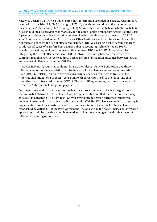Katowice decision on Article 6 which notes that "information provided in a structured summary referred to in decision 18/CMA.1, paragraph 77(d), is without prejudice to the outcomes on these matters" (decision 8/CMA.1, paragraph 4). Second, there was debate on whether Article 6 rules should include provisions for CORSIA or not. Some Parties argued that Article 6 of the Paris Agreement addresses only cooperation between Parties, and that hence transfers to CORSIA should not be addressed under Article 6 rules. Other Parties argued that Article 6 rules are the right place to address the use of offset credits under CORSIA, as a single set of accounting rules to address all types of transfers best ensures robust accounting (Schneider et al., 2019). Practically speaking, avoiding double counting between NDCs and CORSIA would require integrating the use of offset credits for CORSIA into an accounting balance. The structured summary may thus well serve to address both transfers of mitigation outcomes between Parties and the use of offset credits under CORSIA.

At COP25 in Madrid, countries could not finalize the rules for Article 6 but forwarded three different versions of the negotiation text to the next climate change conference in June 2020 in Bonn (UNFCCC, 2019a). All three text versions include specific references to transfers for "international mitigation purposes", consistent with paragraph 77(d) of the MPGs, and thus cover the use of offset credits under CORSIA. The texts differ, however, in some nuances, also in respect to "international mitigation purposes".

For the purpose of this paper, we assume that the approach set out in the draft negotiations texts on Article 6 from COP25 in Madrid will be implemented and that the structured summary, as set out in paragraph 77(d) of the MPGs, will cover both mitigation outcomes transferred between Parties and carbon offset credits used under CORSIA. We also assume that accounting is implemented based on adjustments to NDC covered emissions, including for the mechanism established by Article 6.4 of the Paris Agreement. The analysis in the paper focuses on how these approaches could be practically implemented and what the advantages and disadvantages of different accounting options are.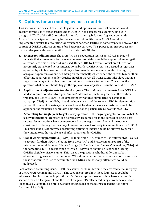CLIMATE CHANGE Avoiding double counting between CORSIA and Nationally Determined Contributions – Options for accounting under the Paris Agreement

# <span id="page-17-0"></span>**3 Options for accounting by host countries**

This section identifies and discusses key issues and options for how host countries could account for the use of offset credits under CORSIA in the structured summary set out in paragraph 77(d) of the MPGs or other forms of accounting balances if agreed upon under Article 6. In principle, accounting for the use of offset credits under CORSIA could be implemented similar to accounting for transfers between Parties. In some respects, however, the context of CORSIA differs from transfers between countries. This paper identifies four issues that require particular consideration in the context of CORSIA:

- 1. **Trigger for adjustments**: The draft Article 6 negotiation texts from COP25 in Madrid indicate that adjustments for transfers between countries should be applied when mitigation outcomes are first-transferred and used. Under CORSIA, however, offset credits are not necessarily transferred across international borders. Offset credits are issued in registries operated by eligible programs and may subsequently be transferred within the registry to aeroplane operators (or entities acting on their behalf) which cancel the credits to meet their offsetting requirements under CORSIA. In other words: all transactions take place within a registry and may not involve countries but only private sector entities. This raises the question what action should trigger the application of adjustments in the context of CORSIA.
- 2. **Application of adjustments to calendar years:** The draft negotiation texts from COP25 in Madrid require countries to report 'annual' information, including on the authorization, transfer, and use of ITMOs. This suggests that structured summaries, as referred in paragraph 77(d) of the MPGs, should include all years of the relevant NDC implementation period. However, it remains yet unclear to which calendar year an adjustment should be applied in the structured summary. This question is particularly relevant for CORSIA.
- 3. **Accounting for single-year targets:** A key question in the ongoing negotiations on Article 6 is how international transfers can be robustly accounted for in the context of single-year targets. Several options have been proposed in the negotiations. Some of the options considered in the negotiations may, however, not work robustly in conjunction with CORSIA. This raises the question which accounting options countries should be allowed to pursue if they intend to authorize the use of offset credits under CORSIA.
- 4. **Global warming potentials (GWPs):** In their first NDCs, countries use different GWP values to account for their NDCs, including from the 2nd, 4th and 5th assessment reports of the Intergovernmental Panel on Climate Change (IPCC) (Graichen, Cames, & Schneider, 2016). At the same time, ICAO does not specify which GWP values should be used when issuing CORSIA eligible emissions units. This raises the questions whether different carbonoffsetting programs will use the same GWP values, whether these values are consistent with those that countries use to account for their NDCs, and how any differences could be addressed.

Each of these accounting issues, if left unresolved, could undermine the environmental integrity of the Paris Agreement and CORSIA. This section explores how these four issues could be addressed. To illustrate the implications of different options, we introduce here an example scenario for an offset project and the use of the project's offset credits by aeroplane operators (section 3.1). Using this example, we then discuss each of the four issues identified above (sections 3.2 to 3.4).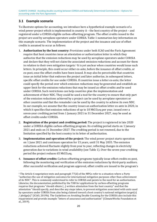CLIMATE CHANGE Avoiding double counting between CORSIA and Nationally Determined Contributions – Options for accounting under the Paris Agreement

## <span id="page-18-0"></span>**3.1 Example scenario**

To illustrate options for accounting, we introduce here a hypothetical example scenario of a wind power project which is implemented in country  $A$  – the host country of the project – and registered under a CORSIA eligible carbon-offsetting program. The offset credits issued to the project are used by aeroplane operators under CORSIA. Table 1 summarizes key information on this example scenario. The implementation of the project and the issuance and use of offset credits is assumed to occur as follows:

- <span id="page-18-2"></span>1. **Authorization by the host country:** Provisions under both ICAO and the Paris Agreement require that host countries issue an attestation or authorization letter in which they authorize that the emission reductions may be used by aeroplane operators under CORSIA and declare that they will not claim the as[so](#page-18-1)ciated emission reductions and account for them in relation to their own mitigation targets.<sup>1</sup> It is yet unclear when countries would issue such letters. In principle, this could occur either ex-ante, before the issuance of offset credits, or ex-post, once the offset credits have been issued. It may also be perceivable that countries issue an initial letter that endorses the project and later authorize, in subsequent letters, specific offset credits for use under CORSIA. If countries issue a letter ex-ante, the letter could specify the period over which emission reductions may be generated and establish an upper limit for the emission reductions that may be issued as offset credits and be used under CORSIA. Such restrictions can help countries plan the implementation and achievement of their NDC. They could be used a tool for the country to ensure that only part of the emission reductions achieved by a project can be used by aeroplane operators or other countries and that the remainder can be used by the country to achieve its own NDC. In our example, we assume that the country issues an authorization letter ex-ante in 2020, in which it specifies that emission reductions of up to 10 MtCO<sub>2</sub>eq per year, issued over a seven-year crediting period from 1 January 2021 to 31 December 2027, may be used as offset credits under CORSIA.
- 2. **Registration of the project and crediting period:** The project is registered in late 2020 under a CORSIA eligible carbon-offsetting program. Its crediting period starts on 1 January 2021 and ends on 31 December 2027. The crediting period is not renewed, due to the limitation specified by the host country in its letter of authorization.
- 3. **Implementation and operation of the project:** The wind power project starts operation on 1 June 2021 and continues operation for 15 years, until 31 May 2035. The emission reductions achieved fluctuate slightly from year to year, reflecting changes in electricity generation due to variations in wind availability (see Table 1). Over the seven-year crediting period the project reduces  $65$  MtCO<sub>2</sub>eq.
- 4. **Issuance of offset credits:** Carbon-offsetting programs typically issue offset credits ex-post, following the monitoring and verification of the emission reductions by third-party auditors. After successful verification and program approval, offset credits are issued to the program's

<span id="page-18-1"></span><sup>&</sup>lt;sup>1</sup> The Article 6 negotiation texts and paragraph  $77(d)$  of the MPGs refer to a situation where a Party ["a](#page-18-2)uthorizes the use of mitigation outcomes for international mitigation purposes other than achievement of its NDC". This is commonly understood to refer to CORSIA and points to the need for an authorization. Likewise, the documentation published by the TAB for applications by carbon-offsetting programs requires that programs "should obtain (...) written attestation from the host country" and that the attestation "should specify, and describe any steps taken, to prevent mitigation associated with units used by operators under CORSIA from also being claimed toward a host country's national mitigation target(s) / pledge(s)" (ICAO, 2019b). The Guidelines on Avoiding Double Counting for the CORSIA also include this requirement and provide example "letters of assurance and authorization" (ClimateWorks Foundation et al., 2019).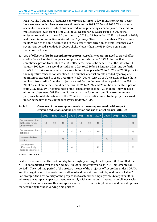registry. The frequency of issuance can vary greatly, from a few months to several years. Here we assume that issuance occurs three times: in 2023, 2026 and 2028. The issuance occurs for the emission reductions achieved in the preceding calendar years: the emission reductions achieved from 1 June 2021 to 31 December 2022 are issued in 2023; the emission reductions achieved from 1 January 2023 to 31 December 2025 are issued in 2026; and the emission reduction achieved from 1 January 2026 to 31 December 2027 are issued in 2029. Due to the limit established in the letter of authorization, the total issuance over seven-year period is with 62 MtCO<sub>2</sub>eq slightly lower than the 65 MtCO<sub>2</sub>eq emission reductions achieved.

5. **Use of offset credits by aeroplane operators:** Aeroplane operators need to cancel offset credits for each of the three-years compliance periods under CORSIA. For the first compliance period from 2021 to 2023, offset credits must be cancelled at the latest by 31 January 2025, for the second period from 2024 to 2026 by 31 January 2028, and so forth (ICAO, 2018). We assume here that cancellations take place in 2024, 2027 and 2030, prior to the respective cancellation deadlines. The number of offset credits needed by aeroplane operators is expected to grow over time (Healy, 2017; ICAO, 2016b). We assume here that 6 million offset credits from the project are used for the first compliance period from 2021 to 2023; 12 million in the second period from 2024 to 2026; and 24 million in the third period from 2027 to 2029. The remainder of the issued offset credits – 20 million – may be used either in subsequent CORSIA compliance periods or for other compliance or voluntary purposes. In total, thus 42 out of the 62 million offset credits issued to the project are used under in the first three compliance cycles under CORSIA.

|                                                              | 2021 | 2022 | 2023 | 2024 | 2025 | 2026 | 2027 | 2028 | 2029 | 2030 | <b>Total</b> |
|--------------------------------------------------------------|------|------|------|------|------|------|------|------|------|------|--------------|
| Emission reductions<br>authorized for use<br>under CORSIA    | 10   | 10   | 10   | 10   | 10   | 10   | 10   |      |      |      | 70           |
| <b>Emission reductions</b><br>achieved                       | 5    | 11   | 8    | 10   | 9    | 12   | 10   |      |      |      | 65           |
| Issuance of offset<br>credits                                |      |      | 15   |      |      | 27   |      | 20   |      |      | 62           |
| Cancellation of<br>offsets credits by<br>aeroplane operators |      |      |      | 6    |      |      | 12   |      |      |      | 42           |

#### <span id="page-19-0"></span>**Table 1: Overview of the assumptions made in the example scenario with respect to emission reductions and the generation and use of offset credits (MtCO2eq)**

Source: Own author

Lastly, we assume that the host country has a single-year target for the year 2030 and that the NDC is implemented over the period 2021 to 2030 (also referred to as 'NDC implementation period'). The crediting period of the project, the use of the project's offset credits under CORSIA, and the target year of the host country all involve different time periods, as shown in Table 2. For example, the host country of the project has to achieve its single year NDC target in 2030, whereas the aeroplane operators need to comply with continuous three-year compliance cycles. In the next sections, we use this example scenario to discuss the implications of different options for accounting for these varying time periods.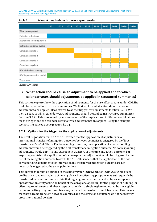CLIMATE CHANGE Avoiding double counting between CORSIA and Nationally Determined Contributions – Options for accounting under the Paris Agreement

|                                 | 2021 | 2022 | 2023 | 2024 | 2025 | 2026 | 2027 | 2028 | 2029 | 2030 |
|---------------------------------|------|------|------|------|------|------|------|------|------|------|
| Wind power project              |      |      |      |      |      |      |      |      |      |      |
| <b>Emission reductions</b>      |      |      |      |      |      |      |      |      |      |      |
| Authorized crediting period     |      |      |      |      |      |      |      |      |      |      |
| <b>CORSIA</b> compliance cycles |      |      |      |      |      |      |      |      |      |      |
| Compliance cycle 1              |      |      |      |      |      |      |      |      |      |      |
| Compliance cycle 2              |      |      |      |      |      |      |      |      |      |      |
| Compliance cycle 3              |      |      |      |      |      |      |      |      |      |      |
| Compliance cycle 4              |      |      |      |      |      |      |      |      |      |      |
| NDC of the host country         |      |      |      |      |      |      |      |      |      |      |
| NDC implementation period       |      |      |      |      |      |      |      |      |      |      |
| Target year                     |      |      |      |      |      |      |      |      |      |      |

<span id="page-20-2"></span>

Source: Own author

## <span id="page-20-0"></span>**3.2 What action should cause an adjustment to be applied and to which calendar years should adjustments be applied in structured summaries?**

This section explores how the application of adjustments for the use offset credits under CORSIA could be reported in structured summaries. We first explore what action should cause an adjustment to be applied, also referred to as the 'trigger' for adjustments (section 3.2.1). We then discuss to which calendar years adjustments should be applied in structured summaries (section 3.2.2). This is followed by an assessment of the implications of different combinations for the trigger and the calendar years to which adjustments are applied, using the example scenario introduced above (section 3.2.3).

#### <span id="page-20-1"></span>**3.2.1 Options for the trigger for the application of adjustments**

The draft negotiation text on Article 6 foresee that the application of adjustments for international transfers of mitigation outcomes between countries is triggered by the 'first transfer' and 'use' of ITMOs. For transferring countries, the application of a corresponding adjustment would be triggered by the first transfer of a mitigation outcome. No corresponding adjustments would apply to any subsequent transfers of the same mitigation outcome. For acquiring countries, the application of a corresponding adjustment would be triggered by the use of the mitigation outcome towards the NDC. This means that the application of the two corresponding adjustments for internationally transferred mitigation outcome are not necessarily triggered at the same point in time.

This approach cannot be applied in the same way for CORSIA. Under CORSIA, eligible offset credits are issued to a registry of an eligible carbon-offsetting program, may subsequently be transferred between accounts within that registry, and are then cancelled by an aeroplane operator (or an entity acting on behalf of the aeroplane operator) for the purpose of fulfilling its offsetting requirements. All these steps occur within a single registry operated by the eligible carbon-offsetting program. Countries may not at all be involved in such transfers. This means that there are no transfers between countries and the emission reductions do not necessarily cross international borders.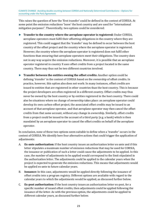This raises the question of how the 'first transfer' could be defined in the context of CORSIA. At some point the emission reductions 'leave' the host country and are used for "international mitigation purposes". Theoretically, two options could be considered:

- ► **Transfer to the country where the aeroplane operator is registered:** Under CORSIA, aeroplane operators must fulfil their offsetting obligations in the country where they are registered. This could suggest that the 'transfer' may be defined to occur between the host country of the offset project and the country where the aeroplane operator is registered. However, the country where the aeroplane operator is registered does not fulfil other functions than ensuring that aeroplane operators meet their obligations. The country does not in any way acquire the emission reductions. Moreover, it is possible that an aeroplane operator registered in country X uses offset credits from a project located in the same country. There may thus not be two different countries involved.
- ► **Transfer between the entities owning the offset credits:** Another option could be defining 'transfer' in the context of CORSIA based on the ownership of offset credits. In practice, however, this option also does not work: In many instances, offset credits are issued to entities that are registered in other countries than the host country. This is because the project developers are often registered in a different country. Offset credits may thus never be owned by the host country or by entities registered in the host country. There could also be situations where no change of ownership takes place: an aeroplane operator could develop its own carbon-offset project, the associated offset credits may be issued to an account of that aeroplane operator, and that aeroplane operator may then cancel the offset credits from that same account, without any change in ownership. Similarly, offset credits from a project could be issued to the account of a third party (e.g. a bank) which is then mandated by an aeroplane operator to cancel the offset credits on behalf of the aeroplane operator.

In conclusion, none of these two options seem suitable to define when a 'transfer' occurs in the context of CORSIA. We identify here four alternative actions that could trigger the application of adjustments:

- A. **Ex-ante authorization:** If the host country issues an authorization letter ex-ante and if this letter stipulates a maximum number of emission reductions that may be used for CORSIA, the issuance or publication of such a letter could cause the adjustments to be applied. In this case, the number of adjustments to be applied would correspond to the limit stipulated in the authorization letter. The adjustments could be applied to the calendar years when the project is expected to generate the emission reductions. This means that adjustments would be applied ex-ante to future calendar years.
- B. **Issuance:** In this case, adjustments would be applied directly following the issuance of offset credits into a program registry. Different options are available with regard to the calendar years to which the adjustments would be applied, as discussed further below.
- C. **Ex-post authorization:** If the host country issues an authorization letter ex-post, for a specific number of issued offset credits, then adjustments could be applied following the issuance of the letter. As with the previous option, the adjustments could be applied to different calendar years, as discussed further below.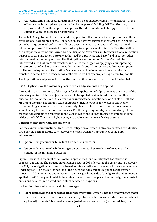D. **Cancellation:** In this case, adjustments would be applied following the cancellation of the offset credits by aeroplane operators for the purpose of fulfilling CORSIA offsetting requirements. As with the previous options, the adjustments could be applied to different calendar years, as discussed further below.

The Article 6 negotiation texts from Madrid appear to reflect some of these options. In all three text versions, paragraph 2 of the "Guidance on cooperative approaches referred to in Article 6.2 of the Paris Agreement" defines what 'first transfer' means in the context of "international mitigation purposes". The texts include basically two options. A 'first transfer' is either defined as a mitigation outcome authorized by a participating Party "for use" for international mitigation purposes or as a mitigation outcome authorized by a participating Party "and used" for other international mitigation purposes. The first option – authorization "for use" – could be interpreted such that the 'first transfer', and hence the trigger for applying a corresponding adjustment, is defined as the ex-ante authorization (option A) or ex-post authorization (option C). The second option – authorization "and use" – could be interpreted such that the 'first transfer' is defined as the cancellation of the offset credits by aeroplane operators (option D).

The implications and pros and cons of the four identified options are discussed further below.

#### <span id="page-22-0"></span>**3.2.2 Options for the calendar years to which adjustments are applied**

A related issue to the choice of the *trigger* for the application of adjustments is the choice of the calendar year to which the adjustments should be applied in structured summaries. This question has so far received little attention in international negotiations on Article 6. Both the MPGs and the draft negotiation texts on Article 6 include options for what should *trigger* corresponding adjustments but are not entirely clear to which calendar years the adjustments should be applied in structured summaries. For the acquiring country, it seems straight forward that the adjustments are reported in the year in which the ITMOs are used to implement and achieve the NDC. The choice is, however, less obvious for the transferring country.

#### **Context of transfers between countries**

For the context of international transfers of mitigation outcomes between countries, we identify two possible options for the calendar year to which transferring countries could apply adjustments:

- ► Option 1: the year in which the first transfer took place; or
- ► Option 2: the year in which the mitigation outcome took place (also referred to as the 'vintage' of the mitigation outcome).

Figure 1 illustrates the implications of both approaches for a country that has otherwise constant emissions. The mitigation outcomes occur in 2030, lowering the emissions in that year. In 2031, the mitigation outcomes are issued as offset credits and transferred to another country. Under Option 1, on the left-hand side of the figure, the adjustment is applied to the year of transfer, in 2031, whereas under Option 2, on the right-hand side of the figure, the adjustment is applied to 2030, the year in which the mitigation outcome took place. Respectively, the adjusted emissions balance (red dotted line) differs between the options.

Both options have advantages and disadvantages:

► **Representativeness of reported progress over time:** Option 1 has the disadvantage that it creates a mismatch between when the country observes the emission reductions and when it applies adjustments. This results in an adjusted emissions balance (red dotted line) that is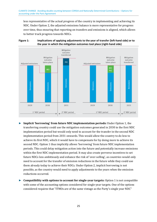less representative of the actual progress of the country in implementing and achieving its NDC. Under Option 2, the adjusted emissions balance is more representative for progress over time, thus ensuring that reporting on transfers and emissions is aligned, which allows to better track progress towards NDCs.



#### <span id="page-23-0"></span>**Figure 1: Implications of applying adjustments to the year of transfer (left-hand side) or to the year in which the mitigation outcomes tool place (right-hand side)**

- ► **Implicit 'borrowing' from future NDC implementation periods:** Under Option 1, the transferring country could use the mitigation outcomes generated in 2030 in the first NDC implementation period but would only need to account for the transfer in the second NDC implementation period from 2031 onwards. This would allow the country to do less to achieve its first NDC, which it would have to compensate for by doing more to achieve its second NDC. Option 1 thus implicitly allows 'borrowing' from future NDC implementation periods. This could delay mitigation action into the future and potentially increase emissions within the first NDC implementation period. It may also create perverse incentives to set future NDCs less ambitiously and enhance the risk of 'over-selling', as countries would only need to account for the transfer of emission reductions in the future while they could use them already today to achieve their NDCs. Under Option 2, implicit borrowing is not possible, as the country would need to apply adjustments to the years when the emission reductions occurred.
- ► **Compatibility with options to account for single-year targets:** Option 1 is not compatible with some of the accounting options considered for single-year targets. One of the options considered requires that "ITMOs are of the same vintage as the Party's single year NDC"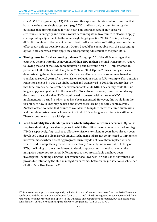<span id="page-24-1"></span>(UNFCCC, 2019b, paragraph 19).<sup>2</sup> This accounting approach is intended for countries that both have the same single target [y](#page-24-0)ear (e.g. 2030) and both only account for mitigation outcomes that are transferred for that year. This approach would only preserve environmental integrity and ensure robust accounting if the two countries also both apply corresponding adjustments to the same single target year (i.e. 2030). This is practically difficult to achieve in the case of carbon offset credits, as carbon-offsetting programs issue offset credit only ex-post. By contrast, Option 2 would be compatible with this accounting option: both countries could apply the corresponding adjustment to the year 2030.

► **Timing issue for final accounting balance:** Paragraph 70 of the MPGs envisages that countries demonstrate the achievement of their NDC in their biennial transparency report following the end of the NDC implementation period. For the first NDC implementation period until 2030, this would likely be in 2032 or 2034. Option 2 raises timing issues for demonstrating the achievement of NDCs because offset credits are sometimes issued and transferred several years after the emission reductions occurred. For example, if an emission reduction achieved in 2030 would be issued and transferred in 2035, the country has, by that time, already demonstrated achievement of its 2030 NDC. The country could thus no longer apply an adjustment to the year 2030. To address this issue, countries could adopt decisions that require that ITMOs would need to be used within the same NDC implementation period in which they have been generated. However, this would limit the flexibility of how ITMOs may be used and might therefore be politically controversial. Another option could be that countries would need to update their structured summaries and their demonstration of achievement of their NDCs as long as such transfers still occur. These issues do not arise with Option 1.

► **Need to identify the calendar years in which mitigation outcomes occurred:** Option 2 requires identifying the calendar years in which the mitigation outcomes occurred and tag ITMOs respectively. Approaches to allocate emissions to calendar years have already been developed under the Clean Development Mechanism and are not complicated to implement; however, most carbon-offsetting programs currently do not have them in place yet and would need to adapt their procedures respectively. Similarly, in the context of linking of ETSs, the linking partners would need to develop approaches that estimate when the mitigation outcomes occurred. Different approaches are available and have been investigated, including using the "net transfer of allowances" or "the use of allowances" as proxies for estimating the shift in mitigation outcomes between the jurisdictions (Schneider, Cludius, & La Hoz Theuer, 2018).

<span id="page-24-0"></span><sup>2</sup> This accounting approach was explicitly included in the draft negotiation texts from the 2018 Katowice [c](#page-24-1)onference and the 2019 Bonn conference (UNFCCC, 2019b). The draft negotiation texts forwarded from Madrid do no longer include this option in the Guidance on cooperative approaches, but still include the consideration of further options as part of a work programme (UNFCCC, 2019a).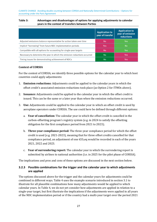#### <span id="page-25-1"></span>**Table 3: Advantages and disadvantages of options for applying adjustments to calendar years in the context of transfers between Parties**

|                                                                           | Application to<br>year of transfer | <b>Application to</b><br>year of emission<br><b>reductions</b> |
|---------------------------------------------------------------------------|------------------------------------|----------------------------------------------------------------|
| Adjusted emissions balance representative for action taken over time      | Nο                                 | Yes                                                            |
| Implicit "borrowing" from future NDC implementation periods               | Yes                                | Nο                                                             |
| Compatible with all options for accounting for single-year targets        |                                    | Yρς                                                            |
| Necessary to determine the year in which the emission reductions occurred | No                                 | Yes                                                            |
| Timing issues for demonstrating achievement of NDCs                       | No                                 |                                                                |

#### **Context of CORSIA**

For the context of CORSIA, we identify three possible options for the calendar year to which host countries could apply adjustments:

- 1. **Emission reductions:** Adjustments could be applied to the calendar years in which the offset credit's associated emission reductions took place (as Option 2 for ITMOs above).
- 2. **Issuance:** Adjustments could be applied to the calendar year in which the offset credit is issued. This can be the same or a later year than when the emission reductions occurred.
- 3. **Use:** Adjustments could be applied to the calendar year in which an offset credit is used by aeroplane operators under CORSIA. The use could here be defined through different options:
	- a. **Year of cancellation:** The calendar year in which the offset credit is cancelled in the carbon-offsetting program's registry system (e.g. in 2024 to satisfy the offsetting obligation for the first compliance period from 2021 to 2023);
	- b. **Three-year compliance period:** The three-year compliance period for which the offset credit is used (e.g. 2021-2023), meaning that for three offset credits cancelled for that compliance period, an adjustment of one  $tCO_2$ eq would be recorded in each of the years 2021, 2022 and 2023.
	- c. **Year of surrendering report:** The calendar year in which the surrendering report is submitted by airlines to national authorities (i.e. in 2025 for the pilot phase of CORSIA).

The implications and pros and cons of these options are discussed in the next section below.

#### <span id="page-25-0"></span>**3.2.3 Possible combinations for the trigger and the calendar year to which adjustments are applied**

The options discussed above for the trigger and the calendar years for adjustments could be combined in different ways. Table 4 uses the example scenario introduced in section 3.1 to illustrate for all plausible combinations how many adjustments would be applied to which calendar years. In Table 4, we do not yet consider how adjustments are applied in relation to a single-year target, but first illustrate the implications if the adjustments were applied in all years of the NDC implementation period or if the country had a multi-year target over the period 2021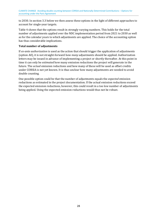to 2030. In section 3.3 below we then assess these options in the light of different approaches to account for single-year targets.

Table 4 shows that the options result in strongly varying numbers. This holds for the total number of adjustments applied over the NDC implementation period from 2021 to 2030 as well as for the calendar years to which adjustments are applied. The choice of the accounting option has thus considerable implications.

#### **Total number of adjustments**

If *ex-ante authorization* is used as the action that should trigger the application of adjustments (option A0), it is not straight-forward how *many* adjustments should be applied. Authorization letters may be issued in advance of implementing a project or shortly thereafter. At this point in time it can only be *estimated* how many emission reductions the project will generate in the future. The *actual* emission reductions and how many of these will be used as offset credits under CORSIA is not yet known. It is thus unclear how many adjustments are needed to avoid double counting.

One possible option could be that the number of adjustments equals the *expected* emission reductions as estimated in the project documentation. If the actual emission reductions exceed the expected emission reductions, however, this could result in a too low number of adjustments being applied. Using the expected emission reductions would thus not be robust.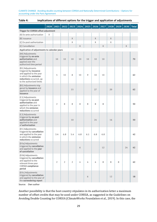| mpheations of amerent options for the trigger and application of adjustments                                                                         |   |     |                                                                                    |                |     |     |     |     |    |   |    |    |
|------------------------------------------------------------------------------------------------------------------------------------------------------|---|-----|------------------------------------------------------------------------------------|----------------|-----|-----|-----|-----|----|---|----|----|
|                                                                                                                                                      |   |     | 2020   2021   2022   2023   2024   2025   2026   2027   2028   2029   2030   Total |                |     |     |     |     |    |   |    |    |
| Trigger for CORSIA offset adjustment                                                                                                                 |   |     |                                                                                    |                |     |     |     |     |    |   |    |    |
| [A] Ex-ante authorization                                                                                                                            | Χ |     |                                                                                    |                |     |     |     |     |    |   |    |    |
| [B] Issuance                                                                                                                                         |   |     |                                                                                    | X              |     |     | χ   |     | χ  |   |    |    |
| [C] Ex-post authorization                                                                                                                            |   |     |                                                                                    | Χ              |     |     | χ   |     | χ  |   |    |    |
| [C] Cancellation                                                                                                                                     |   |     |                                                                                    |                | X   |     |     | X   |    |   | Χ  |    |
| Application of adjustments to calendar years                                                                                                         |   |     |                                                                                    |                |     |     |     |     |    |   |    |    |
| [A0] Adjustments<br>triggered by ex-ante<br>authorization and<br>applied over the<br>authorized time period                                          |   | 10  | 10                                                                                 | 10             | 10  | 10  | 10  | 10  |    |   |    | 70 |
| [B1] Adjustments<br>triggered by issuance<br>and applied to the year<br>in which the emission<br>reductions occurred, up<br>to the authorized limits |   | 5   | 10                                                                                 | 8              | 10  | 9   | 10  | 10  |    |   |    | 62 |
| [B2] Adjustments trig-<br>gered by issuance and<br>applied to the year of<br>issuance                                                                |   |     |                                                                                    | 15             |     |     | 27  |     | 20 |   |    | 62 |
| [C1] Adjustments<br>triggered by ex-post<br>authorization and<br>applied to the year in<br>which the emission<br>reductions occurred                 |   | 2   | 8                                                                                  | 8              | 8   | 8   | 8   | 8   |    |   |    | 50 |
| [C2] Adjustments<br>triggered by ex-post<br>authorization and<br>applied to the year<br>of authorization                                             |   |     |                                                                                    | 10             |     |     | 24  |     | 16 |   |    | 50 |
| [D1] Adjustments<br>triggered by cancellation<br>and applied to the year<br>in which the emission<br>reductions occurred                             |   | 3.4 | 6.8                                                                                | 5.4            | 6.8 | 6.1 | 6.8 | 6.8 |    |   |    | 42 |
| [D3a] Adjustments<br>triggered by cancellation<br>and applied to the year<br>of cancellation                                                         |   |     |                                                                                    |                | 6   |     |     | 12  |    |   | 24 | 42 |
| [D3b] Adjustments<br>triggered by cancellation<br>and applied to the<br>relevant three-year<br>CORSIA compliance<br>period                           |   | 2   | $\overline{2}$                                                                     | $\overline{2}$ | 4   | 4   | 4   | 8   | 8  | 8 |    | 42 |
| [D3c] Adjustments<br>triggered by cancellation<br>and applied to the year of<br>the surrendering report                                              |   |     |                                                                                    |                |     | 6   |     |     | 12 |   |    | 18 |

#### <span id="page-27-0"></span>**Table 4: Implications of different options for the trigger and application of adjustments**

Source: Own author

Another possibility is that the host country stipulates in its authorization letter a maximum number of offset credits that may be used under CORSIA, as suggested in the Guidelines on Avoiding Double Counting for CORSIA (ClimateWorks Foundation et al., 2019). In this case, the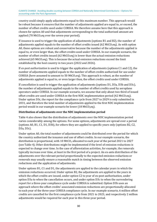country could simply apply adjustments equal to this maximum number. This approach would be robust because it ensures that the number of adjustments applied are equal to, or exceed, the number of offset credits used under CORSIA. We therefore assume here that this approach is chosen for option A0 and that adjustments corresponding to the total authorized amount are applied (70 MtCO<sub>2</sub>eq over the seven-year period).

If *issuance* is used to trigger the application of adjustments (options B1 and B2), the number of adjustments applied equals to the number of offset credits issued (62 MtCO<sub>2</sub>eq). As with option A0, these options are robust and conservative because the number of the adjustments applied is equal to, or even larger than, the offset credits used under CORSIA. In our example scenario, the number of offset credits issued (62 MtCO<sub>2</sub>eq) is lower than the actual emission reductions achieved (65 MtCO<sub>2</sub>eq). This is because the actual emission reductions exceed the limit established by the host country in two years (2022 and 2026).

If *ex-post authorization* is used to trigger the application of adjustments (options C1 and C2), the number of adjustments applied equals to the number of offset credits authorized for use under CORSIA (here assumed to amount to 50 MtCO<sub>2</sub>eq). This approach is robust, as the number of adjustments applied is equal to, or even larger than, the offset credits used under CORSIA.

If *cancellation* is used to trigger the application of adjustments (options D1, D3a, D3b and D3c), the number of adjustments applied equals to the number of offset credits used by aeroplane operators under CORSIA. In our example scenario, we assume that only about two third of issued offset credits are used under CORSIA in the first NDC implementation period  $(42 \text{ MtCO}_2\text{eq})$ . Under option D3c, the report for the compliance cycle from 2027 to 2029 is only submitted in 2031, and therefore the total number of adjustments applied to the first NDC implementation period would in our example scenario be lower (18 MtCO<sub>2</sub>eq).

#### **Distribution of adjustments over the NDC implementation period**

Table 4 also shows that the distribution of adjustments over the NDC implementation period varies considerably among the options. For some options, adjustments are spread over a period (options A0, B1, C1, D1, D3b), for others they are applied to specific years only (options B2, C2, D3a, D3c).

Under option A0, the total number of adjustments could be distributed over the period for which the country authorized the issuance and use of offset credits. In our example scenario, the distribution is proportional, with 10 MtCO<sub>2</sub> allocated to each year of the period 2021 to 2027 (see Table 4). Other distributions might be implemented if the level of emission reductions is expected to change over time. In the case of afforestation activities, for example, the removals typically increase over time, at least in the first period of a project. An ex-ante distribution of the adjustments over the relevant period proportionally to the expected emission reductions or removals may usually ensure a reasonable match in timing between the observed emission reductions and the application of adjustments.

Under options B1, C1 and D1, the adjustments are applied to the calendar years in which the emission reductions occurred. Under option B2, the adjustments are applied to the years in which the offset credits are issued, under option C2 to year of ex-post authorization, under option D3a to when the cancellation occurs, and under option D3c to when the surrendering report for a three-year compliance cycle under CORSIA is submitted. Option D3b uses an approach where the offset credits' associated emission reductions are proportionally allocated to each year of the three-year CORSIA compliance cycle. In our example scenario, 6 million offset credits are cancelled for the first compliance cycle from 2021 to 2023, and respectively 2 million adjustments would be required for each year in this three-year period.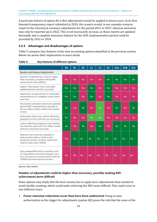CLIMATE CHANGE Avoiding double counting between CORSIA and Nationally Determined Contributions – Options for accounting under the Paris Agreement

A particular feature of option A0 is that adjustments would be applied to future years. In its first biennial transparency report submitted in 2024, the country would, in our example scenario, report in the structured summary adjustments for the period 2021 to 2027, whereas emissions may only be reported up to 2022. This is not necessarily an issue, as these reports are updated biennially and a complete emissions balance for the NDC implementation period could be provided by 2032 or 2034.

#### <span id="page-29-0"></span>**3.2.4 Advantages and disadvantages of options**

Table 5 compares key features of the nine accounting options identified in the previous section. Below we assess their implications in more detail.

|                                                                                                                                                                              | A <sub>0</sub> | <b>B1</b> | <b>B2</b> | C <sub>1</sub> | C <sub>2</sub> | D <sub>1</sub> | D <sub>3a</sub> | D <sub>3</sub> b | D3c       |
|------------------------------------------------------------------------------------------------------------------------------------------------------------------------------|----------------|-----------|-----------|----------------|----------------|----------------|-----------------|------------------|-----------|
| Number and timing of adjustments                                                                                                                                             |                |           |           |                |                |                |                 |                  |           |
| Number of adjustments could be higher<br>than necessary, possibly making NDC<br>achievement more difficult                                                                   | <b>Yes</b>     | Yes       | Yes       | Yes            | Yes            | No             | <b>No</b>       | No               | No        |
| Implicit "borrowing" from future NDC<br>implementation periods is possible                                                                                                   | No             | No        | Yes       | No             | Yes            | <b>No</b>      | Yes             | Yes              | Yes       |
| Application of adjustments is reasonably<br>representative for mitigation action taken<br>over time                                                                          | <b>Yes</b>     | Yes       | No        | Yes            | No             | <b>Yes</b>     | No              | No               | No        |
| Structured summaries need to be updated<br>beyond NDC implementation periods or<br>the use offset credits needs to be limited<br>in time                                     | No             | Yes       | No        | Yes            | No             | Yes            | <b>No</b>       | Yes              | <b>No</b> |
| Information flows from carbon-offsetting<br>programs to host countries are necessary                                                                                         | No             | Yes       | Yes       | No             | No             | Yes            | Yes             | Yes              | Yes       |
| Carbon-offsetting programs must identify<br>the calendar years when the offset credits'<br>emission reductions occurred                                                      | No             | Yes       | No        | Yes            | No             | Yes            | <b>No</b>       | No               | <b>No</b> |
| Requires that countries stipulate in<br>authorization letters a limit on the<br>maximum number of offset credits that<br>may be used under CORSIA                            | Yes            | No        | No        | No             | No             | No             | No              | No               | No        |
| Easy compatibility with accounting rules<br>for international transfers between coun-<br>tries if projects are authorized for both for<br>CORSIA and international transfers | No             | No        | No        | No             | No             | No             | No              | <b>No</b>        | No        |

#### <span id="page-29-1"></span>**Table 5: Key features of different options**

Source: Own author.

#### **Number of adjustments could be higher than necessary, possibly making NDC achievement more difficult**

Some options may imply that the host country has to apply more adjustments than needed to avoid double counting, which could make achieving the NDC more difficult. This could occur in two different ways:

1. **Fewer emission reductions occur than have been authorized:** Using ex-ante authorization as the trigger for adjustments (option A0) poses the risk that the some of the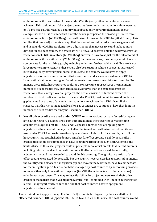emission reduction authorized for use under CORSIA (or by other countries) are never achieved. This could occur if the project generates fewer emission reductions than expected or if a project is authorized by a country but subsequently never implemented. In our example scenario it is assumed that over the seven-year period the project generates fewer emission reductions (65 MtCO<sub>2</sub>eq) than authorized for use under CORSIA (70 MtCO<sub>2</sub>eq). This implies that more adjustments are applied than actual emission reductions are generated and used under CORSIA. Applying more adjustments than necessary could make it more difficult for the host country to achieve its NDC: it would observe only the achieved emission reductions in its GHG inventory  $(65 \text{ MtCO}_2)$  but would have to adjust for the full amount of emission reductions authorized (70 MtCO<sub>2</sub>eq). In the worst case, the country would have to compensate for the resulting gap, by reducing emissions further. While the difference is not large in our example scenario, there could also be situations where a project is authorized but subsequently never implemented. In this case, the country would have to apply adjustments for emission reductions that never occur and are never used under CORSIA. Using authorization as the trigger for adjustments thus poses some risks for countries. To manage these risks, host countries could, as a conservative approach, set the maximum number of offset credits they authorize at a lower level than the expected emission reductions. If on average, over all projects, the actual emission reductions exceed the number of offset credits authorized for use under CORSIA, host countries would not face a gap but could use some of the emission reductions to achieve their NDC. Overall, this suggests that this risk is manageable as long as countries are cautious in how they limit the number of offset credits that may be used under CORSIA.

2. **Not all offset credits are used under CORSIA or internationally transferred:** Using exante authorization, issuance or ex-post authorization as the trigger for corresponding adjustments (options A0, B1, B2, C1 and C2) poses a further risk of applying more adjustments than needed, namely if not all of the issued and authorized offset credits are used under CORSIA or are internationally transferred. This could, for example, occur if the host country has established a domestic market for offset credits, e.g. if domestic offset credits are eligible for compliance in ETSs or under carbon taxes such as in Colombia and South Africa. In this case, projects could in principle serve offset credits to different markets, including international and domestic markets. If offset credits are used domestically, adjustments would not be needed to avoid double counting. If a significant portion of the offset credits were used domestically but the country nevertheless has to apply adjustments, the country could also face a mitigation gap and may, in the worst case, have to compensate for that mitigation gap. This risk could be managed by host countries by authorizing projects to serve either only international purposes (for CORSIA or transfers to other countries) or only domestic purposes. This may reduce flexibility for project owners to sell their offset credits in the market that gives higher revenues, but – combined with limits in authorization letters – may significantly reduce the risk that host countries have to apply more adjustments than needed.

These risks do not apply if the application of adjustments is triggered by the cancellation of offset credits under CORSIA (options D1, D3a, D3b and D3c). In this case, the host country would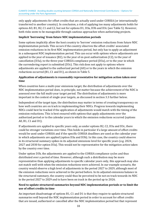only apply adjustments for offset credits that are actually used under CORSIA (or internationally transferred to another country). In conclusion, a risk of applying too many adjustments holds for options AO, B1, B2, C1 and C2, but not for options D1, D3a, D3b and D3c (see Table 5). However, both risks seem to be manageable through cautious approaches when authorizing projects.

#### **Implicit 'borrowing' from future NDC implementation periods**

Some options implicitly allow the host country to 'borrow' emission reductions from future NDC implementation periods. This occurs if the country observes the offset credits' associated emission reductions in its first NDC implementation period, but only has to apply an adjustment in a subsequent NDC implementation period. This can occur with options where adjustments are applied to the year of issuance  $(B2)$ , to the year of ex-post authorization  $(C2)$ , to the year of cancellation (D3a), to the three-year CORSIA compliance period (D3a), or to the year in which the surrendering report is submitted (D3c). This risk does not apply to options where adjustments are applied to the authorized period (A0) or to the years in which the emission reductions occurred (B1, C1 and D1), as shown in Table 5.

#### **Application of adjustments is reasonably representative for mitigation action taken over time**

When countries have a multi-year emissions target, the distribution of adjustments over the NDC implementation period does, in principle, not matter because the achievement of the NDC is assessed over the full multi-year target period. The distribution of adjustments is more important in the context of single-year targets, as discussed in section 3.3 further below.

Independent of the target type, the distribution may matter in terms of creating transparency on how well countries are on track in implementing their NDCs. Progress towards implementing NDCs could best be tracked if the application of adjustments would match with the timing of the emission reductions. This is best ensured with options that apply adjustments over the authorized period or to the calendar years in which the emission reductions occurred (options A0, B1, C1 and D1).

If adjustments are applied to specific years only, as under options B2, C2, D3a and D3c, there could be stronger variations over time. This holds in particular if a large amount of offset credits would be used under CORSIA and if the specific CORSIA deadlines are used as the calendar year in which adjustments are applied (option D3a and D3b). In this case, the country could observe in its structured summary spikes in its adjusted emissions level for specific years (e.g. 2024, 2027 and 2030 for option D3a). This would not be representative for the mitigation action taken by the country over time.

Under option D3b, the adjustments are applied to the CORSIA compliance cycles and thus distributed over a period of time. However, although such a distribution may be more representative than applying adjustments to specific calendar years only, this approach may also not match well with when the emission reductions were achieved. In our example scenario, the country would observe a high level of adjustments in the period 2027 to 2029, although most of the emission reductions were achieved in the period before. In its adjusted emissions balance in the structured summary, the country could thus be perceived to be not on track towards its NDC in the period 2027 to 2029 and to have been on track in the period up to 2026.

#### **Need to update structured summaries beyond NDC implementation periods or to limit the use of offset credits in time**

An important disadvantage of options B1, C1 and D1 is that they require to update structured summaries well beyond the NDC implementation period in order to account for offset credits that are issued, authorized or cancelled after the NDC implementation period but that represent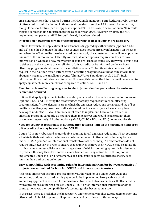emission reductions that occurred during the NDC implementation period. Alternatively, the use of offset credits could be limited in time (see discussion in section 3.2.2 above). A similar risk, though for a shorter time period, applies to option D3b. In this case, a cancellation in 2036 could trigger a corresponding adjustment to the calendar year 2029. However, by 2036, the NDC implementation period until 2030 could already have been closed.

#### **Information flows from carbon-offsetting programs to host countries are necessary**

Options for which the application of adjustments is triggered by authorization (options A0, C1 and C2) have the advantage that the host country does not require any information on whether and when the offset credits have been used but can apply the adjustments immediately upon the issuance of the authorization letter. By contrast, all other options require countries to have information on when and how many offset credits are issued or cancelled. They would thus need to either track the issuance or cancellation of offset credits or be informed by the carbonoffsetting programs about issuance or cancellation events. To facilitate this, countries could request in their authorization letters carbon-offsetting programs to automatically inform them about any issuance or cancellation events (ClimateWorks Foundation et al., 2019). Such information flows could also be automated. However, this makes the information flow needed to apply adjustments more complex as compared to options A0, C1 and C2.

#### **Need for carbon-offsetting programs to identify the calendar years when the emission reductions occurred**

Options that apply adjustments to the calendar years in which the emission reductions occurred (options B1, C1 and D1) bring the disadvantage that they require that carbon-offsetting programs identify the calendar years in which the emission reductions occurred and tag offset credits respectively. Approaches to allocate emissions to calendar years have already been developed under the CDM and are not complicated to implement; however, most carbonoffsetting programs currently do not have them in place yet and would need to adapt their procedures respectively. All other options (A0, B2, C2, D3a, D3b and D3c) do not require this.

#### **Need for countries to stipulate in authorization letters a limit on the maximum number of offset credits that may be used under CORSIA**

Option A0 is only robust and avoids double counting for all emission reductions if host countries stipulate in their authorization letters a maximum number of offset credits that may be used under CORSIA (and/or for international transfer to another country). All other options do not require this. However, in order to ensure that countries achieve their NDCs, it may be advisable that host countries establish such limits regardless of which accounting options is implemented. In practice, this may therefore not be a major barrier for using option A0. If this option is implemented under the Paris Agreement, a decision could request countries to specify such limits in their authorization letters.

#### **Easy compatibility with accounting rules for international transfers between countries if projects are authorized for both for CORSIA and international transfers**

As long as offset credits from a project are only authorized for use under CORSIA, all the accounting options discussed in this paper could be implemented irrespectively of which accounting approaches are used for international transfers between countries. If offset credits from a project are authorized for use under CORSIA or for international transfer to another country, however, then compatibility of accounting rules becomes an issue.

In this case, there is a risk that the host country unintentionally applies two adjustments for one offset credit. This risk applies to all options but could occur in two different ways: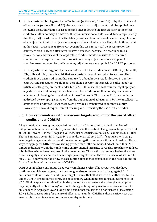- 1. If the adjustment is triggered by *authorization* (options A0, C1 and C2) or by the *issuance* of offset credits (options B1 and B2), there is a risk that an adjustment could be applied once following the authorization or issuance and once following the first transfer of the offset credit to another country. To address this risk, international rules could, for example, clarify that the (first) transfer would be the latest possible action that should cause the application of an adjustment but that adjustments may also be applied at an earlier point in time (i.e. at authorization or issuance). However, even in this case, it may still be necessary for the country to track how the offset credits have been used, because, in order to enable a reconciliation and review of the application of adjustments, the rules for structured summaries may require countries to report how many adjustments were applied for transfers to other countries and how many adjustments were applied for CORSIA purposes.
- 2. If the adjustment is triggered by the *cancellation* of offset credits under CORSIA (options D1, D3a, D3b and D3c), there is a risk that an adjustment could be applied twice if an offset credit is first transferred to another country (e.g. bought by a retailer located in another country) and subsequently sold to an aeroplane operator that cancels the offset credit to satisfy offsetting requirements under CORSIA. In this case, the host country might apply an adjustment once following the first transfer offset credit to another country, and another adjustment following the cancellation of the offset credit. This risk could, for example, be addressed by exempting countries from the application of adjustments for the cancellation of offset credits under CORSIA if these were previously transferred to another country. However, this would require careful tracking and reconciling the use of offset credits.

### <span id="page-33-0"></span>**3.3 How can countries with single-year targets account for the use of offset credits under CORSIA?**

A key question in the ongoing negotiations on Article 6 is how international transfers of mitigation outcomes can be robustly accounted for in the context of single-year targets (Hood et al., 2014; Howard, Chagas, Hoogzaad, & Hoch, 2017; Lazarus, Kollmuss, & Schneider, 2014; Rich, Bhatia, Finnegan, Levin, & Mitra, 2014; Schneider et al., 2019, 2017). If countries with singleyear targets engage in international transfers of mitigation outcomes, this could lead in different ways to aggregated GHG emissions being greater than if the countries had achieved their NDC targets individually, and thus undermine environmental integrity. Several approaches to address this challenge have been proposed in the negotiations. This section assesses whether the same concerns apply if host countries have single-year targets and authorize the use of offset credits for CORSIA and whether and how the accounting approaches considered in the negotiations on Article 6 could work in the context of CORSIA.

CORSIA establishes continuous three-year compliance cycles. If host countries also have continuous multi-year targets, this does not give rise to the concern that aggregated GHG emissions could increase, as multi-year targets ensure that all offset credits authorized for use under CORSIA are accounted for by the host country when demonstrating achievement of its NDC. All nine approaches identified in the previous section ensure this, though some options may implicitly allow 'borrowing' and could thus give temporary rise to emissions and would only ensure in aggregate, over a long time period, that emissions do not increase (see section 3.2.4). Robust accounting for the use of offset credits under CORSIA is thus relatively easy to ensure if host countries have continuous multi-year targets.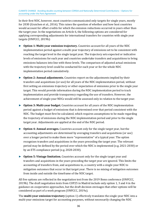In their first NDC, however, most countries communicated only targets for single years, mostly for 2030 (Graichen et al., 2016). This raises the question of whether and how host countries would account for offset credits for which the emission reductions occurred in years other than the target year. In the negotiations on Article 6, the following options are considered for applying corresponding adjustments for international transfers for countries with single year targets (UNFCCC, 2019b):

- ► **Option 1: Multi-year emission trajectory.** Countries account for all years of the NDC implementation period against a multi-year trajectory of emissions set to be consistent with reaching the target level in the single target year. The trajectory sets expected or indicative levels of emissions for each year and countries undertake transfers and acquisitions to bring emissions balances into line with these levels. The comparison of adjusted actual emissions with the trajectory level could be conducted for each year or for the whole NDC implementation period cumulatively.
- ► **Option 2: Annual adjustments.** Countries report on the adjustments implied by their transfers and acquisitions (or use) for all years of the NDC implementation period, without first setting an emissions trajectory or other expectation of emissions prior to the single year target. This would provide information during the NDC implementation period to track implementation and provide transparency regarding the use of transfers. However, the achievement of single-year NDCs would still be assessed only in relation to the target year.
- ► **Option 3: Multi-year budget.** Countries account for all years of the NDC implementation period against a budget of emissions that is determined over that period consistent with the NDC. The budget must first be calculated, which requires assumptions to be made regarding the trajectory of emissions during the NDC implementation period and prior to the single target year. Adjustments are applied at the end of the NDC period.
- ► **Option 4: Annual averages.** Countries account only for the single target year, but the accounting adjustments are determined by averaging transfers and acquisitions (or use) over a longer period to make them more "representative" of a typical year. The option recognizes transfers and acquisitions in the years preceding the target year. The relevant period may be defined by the period over which the NDC is implemented (e.g. 2021-2030) or by an ETS compliance period (e.g. 2028-2030).
- ► **Option 5: Vintage limitation.** Countries account only for the single target year and transfers and acquisitions in the years preceding the target year are ignored. This limits the accounting of transfers from, and acquisitions to, a country with a single-year NDC to mitigation outcomes that occur in that target year. There is no mixing of mitigation outcomes from inside and outside the timeframe of the NDC target.

All five options are reflected in the negotiation text from the 2019 Bonn conference (UNFCCC, 2019b). The draft negotiation texts from COP25 in Madrid include only option 1, 3 and 4 in the guidance on cooperative approaches, but the draft decision envisages that other options will be considered as part of a work program (UNFCCC, 2019a).

The **multi-year emission trajectory** (option 1) effectively translates the single-year NDC into a multi-year emissions target for accounting purposes, without necessarily changing the NDC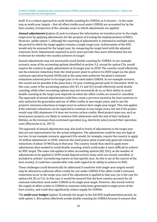itself. It is a robust approach to avoid double counting for CORSIA, as it ensures – in the same way as multi-year targets – that all offset credits used under CORSIA are accounted for by the host country, irrespective of the calendar years to which adjustments are applied.

**Annual adjustments (**option 2) seek to enhance the information on transfers prior to the single target year by applying adjustments for the purpose of tracking the implementation of NDCs. However, unlike option 1, although the reporting of adjustments is extended to multiple years, the period in which the target applies remains a single target year. Achievement of the NDC would only be assessed for the target year, by comparing the target level with the adjusted emissions level. Adjustments reported in prior years provide thus more information but are irrelevant for whether the country achieves its target.

Annual adjustments may not necessarily avoid double counting for CORSIA. In our example scenario, none of the accounting options identified in section 3.2, except for option C3a, would require the country to apply adjustments in its target year in 2030. The country could effectively use the emission reductions from the wind power plant to achieve its 2030 target (as the plant continues operation beyond 2030) and at the same time authorize the plant's emission reductions achieved prior to its target year to be used under CORSIA. In our example scenario, this would not be possible if the plant had a 10-year crediting period until 31 December 2030. In this case, some of the accounting options (A0, B1, C1 and D1) would effectively avoid double counting, while other accounting options may not necessarily do so, as their ability to avoid double counting in the target year depends on when the offset credits are issued or cancelled. The approach of annual adjustments could thus create a perverse incentive for host countries to only authorize the generation and use of offset credits in non-target years, and to use the projects' emission reductions in target years to achieve their single-year target. This risk applies if the emission reductions can be expected to continue in non-target years, but not if the project would stop GHG abatement if it does not receive carbon credits. Most project types are, such as wind power projects, are likely to continue GHG abatement until the end of their technical lifetime, as the revenues from continued operation (e.g. electricity sales) exceed their operation costs (Warnecke et al., 2017).

The approach of annual adjustments may also lead to levels of adjustments in the target year that are not representative for the actual mitigation. The adjustments could be way too high or too low. In our example scenario, approach D3a would, for example, require the country to apply 24 million adjustments in 2030, whereas the wind power plant would only generate emission reductions of about 10 MtCO<sub>2</sub>eq in that year. The country would thus need to apply more adjustments than needed to avoid double counting, which could make it more difficult to achieve its NDC target. The same risk applies to other accounting options (B2, D3c), as the number of adjustments to be applied in 2030 would depend on how many units are issued, cancelled, or included in airlines' surrendering reports in that specific year. As this is out of the control of the host country, it could face considerable risks with regard to its ability to achieve its NDC.

These challenges could theoretically be addressed if countries with single-year targets would only be allowed to authorize offset credits for use under CORSIA if the offset credit's emission reductions occur in the target year and if the adjustment is applied to that year (as is the case for options A0, B1 or C1). In this case, it would be ensured that the host country accounts for all emission reductions used under CORSIA in its single-year target. However, this would restrict the supply of offset credits to CORSIA to emission reductions generated in target years of the host country, and could thus significantly reduce supply for CORSIA.

The **multi-year budget** (option 3) extends the target to the full NDC implementation period. As with option 1, this option effectively avoids double counting for CORSIA because it ensures that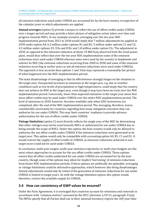all emission reductions used under CORSIA are accounted for by the host country, irrespective of the calendar years to which adjustments are applied.

**Annual averages** (option 4) provide a means to reflect the use of offset credits under CORSIA over a longer period and may provide a fairer picture of mitigation action taken over time and progress towards NDCs. In our example scenario, averaging over the ten-year NDC implementation period from 2021 to 2030 would imply that 7 million adjustments be applied in 2030 under option A0; 6.2 million under options B1 and B2; 5 million under options C1 and C2; 4.2 million under options D1, D3a and D3b; and 1.8 million under option C3c. The adjustment in 2030, as opposed to the emission reduction of about 10 MtCO<sub>2</sub>eq observed from the wind power plant, would thus reflect that over the ten-year NDC implementation some of the emission reductions were used under CORSIA whereas some were used by the country to implement and achieve its NDC (the emission reductions occurring from 2028 to 2030 and some of the emission reduction occurring in earlier years as not all emission reductions were used under CORSIA). The approach is less accurate than options 1 and 3 but may represent a reasonably fair picture of what happened over the NDC implementation period.

The main disadvantage of averaging is that its effectiveness strongly hinges on the situation in the target year. Unexpected increases in emissions in the target year, e.g. due to weather conditions such as low levels of precipitation or high temperatures, could imply that the country does not achieve its NDC in the target year, even though it may have been on track over the NDC implementation period. Conversely, lower than expected emissions in the target year mean that more offset credits may be used under CORSIA over the entire NDC implementation period. The level of emissions in 2030, however, becomes available only when GHG inventories are completed, after the end of the NDC implementation period. The averaging, therefore, leaves considerable uncertainty for countries regarding how many mitigation outcomes they can authorize for use under CORSIA. This may limit countries' readiness to provide advance authorization for the use of offset credits under CORSIA.

**Vintage limitation** (option 5) most directly reflects the single year of the NDC by determining that other vintages may not be used towards NDCs or authorized for use under CORSIA due to being outside the scope of NDCs. Under this option, the host country would only be allowed to authorize the use offset credits under CORSIA if the emission reductions were generated in its target year. This option would only be compatible with accounting option A0, B1, C1 and D1. It would restrict the supply of offset credits to CORSIA, as emission reductions achieved in nontarget years could not be used under CORSIA.

In conclusion, multi-year targets, multi-year emission trajectories or multi-year budgets are the most robust approaches to account for the use offset credits under CORSIA. These options ensure that all offset credits authorized for use under CORSIA are accounted for by the host country, though some of the options may allow for implicit 'borrowing' of emission reductions from future NDC implementation periods. If these options are politically not palatable, averaging or vintage limitations could be alternative approaches, which however also bring disadvantages. Annual adjustments would only be robust if the generation of emission reductions for use under CORSIA is limited to target years. As with the vintage limitation option, this option would, therefore, restrict the available supply for CORSIA.

### <span id="page-36-0"></span>**3.4 How can consistency of GWP values be ensured?**

Under the Paris Agreement, it is envisaged that countries account for emissions and removals in accordance with "common metrics" assessed by the IPCC (decision 1/CP.21, paragraph 31(a)). The MPGs specify that all Parties shall use in their national inventory reports the 100-year time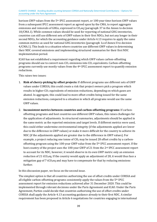horizon GWP values from the 5th IPCC assessment report, or 100-year time-horizon GWP values from a subsequent IPCC assessment report as agreed upon by the CMA, to report aggregate emissions and removals of GHGs, expressed in  $CO<sub>2</sub>$ eq (paragraph 37 in the Annex to decision 18/CMA.1). While common values should be used for reporting of national GHG inventories, countries can still use different sets of GWP values in their first NDCs, but not any longer in their second NDCs, for which the accounting guidance under Article 4.13 requires to apply the same common metrics as used for national GHG inventories (paragraph 1a of Annex II to decision 4/CMA.1). This leads to a situation where countries use different GWP values in determining their NDC covered emissions and implementing structured summaries for their first NDC implementation period.

ICAO has not established a requirement regarding which GWP values carbon-offsetting programs should use to convert non- $CO<sub>2</sub>$  emissions into  $CO<sub>2</sub>$  equivalents. Carbon-offsetting programs currently use mostly values from the 4th IPCC assessment report to quantify emission reductions.

This raises two issues:

- 1. **Risk of cherry-picking by offset projects:** If different programs use different sets of GWP values under CORSIA, this could create a risk that project owners pick a program which results in higher  $CO<sub>2</sub>$  equivalents of emission reductions, depending on which gases are abated. In aggregate, this could lead to more offset credits being issued for the same emission reductions, compared to a situation in which all programs would use the same GWP values.
- 2. **Inconsistent metrics between countries and carbon-offsetting programs:** If carbonoffsetting programs and host countries use different GWP values, this raises challenges for the application of adjustments. In structured summaries, adjustments should be applied in the same metric as the reported emissions and target levels. If different metrics were used, this could either undermine environmental integrity (if the adjustments applied are lower due to the difference in GWP values) or make it more difficult for the country to achieve its NDC (if the adjustments applied are greater due to the difference in GWP values). For example, a project reducing one tonne of CH<sub>4</sub> may be issued 28 offset credits by a carbonoffsetting program using the 100-year GWP value from the 5th IPCC assessment report. If the host country of the project uses the 100-year GWP of 21 from the 2nd IPCC assessment report to account for its NDC, however, it would observe in its own GWP metric only an emission reduction of 21 tCO<sub>2</sub>eq. If the country would apply an adjustment of 28, it would thus face a mitigation gap of 7 tCO<sub>2</sub>eq and may have to compensate for that by reducing emissions further.

In this discussion paper, we focus on the second issue.

The simplest option is that all countries authorizing the use of offset credits under CORSIA and all eligible carbon-offsetting programs consistently apply the values from the 5th IPCC assessment report for emission reductions achieved after 31 December 2020. This could be implemented through relevant decisions under the Paris Agreement and ICAO. Under the Paris Agreement, Parties could decide that countries authorizing the use of offset credits under CORSIA shall apply the Article 4.13 accounting guidance already to their first NDC. A similar requirement has been proposed in Article 6 negotiations for countries engaging in international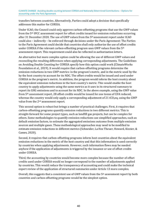transfers between countries. Alternatively, Parties could adopt a decision that specifically addresses this matter for CORSIA.

Under ICAO, the Council could only approve carbon-offsetting programs that use the GWP values from the 5th IPCC assessment report for offset credits issued for emission reductions occurring after 31 December 2020. The use of GWP values from the 5th assessment report under ICAO could also – indirectly – be enforced through decisions under the Paris Agreement: The Parties to the Paris Agreement could decide that countries shall only authorize the use of offset credits under CORSIA if the relevant carbon-offsetting program uses GWP values from the 5th assessment report. This requirement could also be reflected in authorization letters.

An alternative but more complex option could be allowing the use of different GWP values and reconciling the resulting differences when applying corresponding adjustments. The Guidelines on Avoiding Double Counting for CORSIA specify how this option could work (ClimateWorks Foundation et al., 2019). It would require that carbon-offsetting programs determine the emission reductions in two GWP metrics: in the program's metric, and in the metric used by the by the host country to account for its NDC. The offset credits would be issued and used under CORSIA in the program's metric. In addition, the program would inform the host country about the equivalent emission reductions in the host country's metric. This would enable the host country to apply adjustments using the same metrics as it uses in its structured summary to report its GHG emissions and to account for its NDC. In the above example, using the GWP value from 5th assessment report, 28 offset credits would be issued for one tonne of CH4 reduced, whereas the country would only apply a corresponding adjustment of 21 tCO<sub>2</sub>eq, using the GWP value from the 2nd assessment report.

This second option is robust but brings a number of practical challenges. First, it requires that carbon-offsetting programs quantify emission reductions in two different metrics. This is straight-forward for some project types, such as landfill gas projects, but can be complex for others. Some methodologies to quantify emission reductions use simplified approaches, such as default emission factors, to estimate the aggregated emissions outcome from multiple emission sources and multiple gases. These methodological approaches may need to be modified to estimate emission reductions in different metrics (Schneider, La Hoz Theuer, Howard, Kizzier, & Cames, 2020).

Second, it requires that carbon-offsetting programs inform host countries about the equivalent emission reductions in the metric of the host country and that this information is used correctly by countries when applying adjustments. However, such information flows may be needed anyhow if the application of adjustments is triggered by the issuance or use of offset credits under CORSIA.

Third, the accounting by countries would become more complex because the number of offset credits used under CORSIA would no longer correspond to the number of adjustments applied by countries. This would reduce the transparency of accounting and could make the technical expert review of the application of structured summaries under Article 13 more complex.

Overall, this suggests that a consistent use of GWP values from the 5th assessment report by both countries and carbon-offsetting programs would be the simplest option.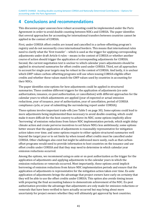CLIMATE CHANGE Avoiding double counting between CORSIA and Nationally Determined Contributions – Options for accounting under the Paris Agreement

# <span id="page-39-0"></span>**4 Conclusions and recommendations**

This discussion paper assesses how robust accounting could be implemented under the Paris Agreement in order to avoid double counting between NDCs and CORSIA. The paper identifies that several approaches for accounting for international transfers between countries cannot be applied in the context of CORSIA.

First, under CORSIA offset credits are issued and cancelled in a carbon-offsetting program's registry and do not necessarily cross international borders. This means that international rules need to clarify what the 'first transfer' – which is used as the trigger for applying corresponding adjustments under draft Article 6 rules – means in the context of CORSIA or whether another course of action should trigger the application of corresponding adjustments for CORSIA. Second, the current negotiation text is unclear to which calendar years adjustments should be applied in structured summaries for offset credits used under CORSIA. Third, not all approaches to account for single-year targets may be robust in the context of CORSIA. And lastly, it is unclear which GWP values carbon-offsetting programs will use when issuing CORSIA eligible offset credits and whether these values match the GWP values used by countries in accounting for their NDCs.

The paper identifies nine options for how adjustments could be applied in structured summaries. These combine different triggers for the application of adjustments (ex-ante authorization, issuance, ex-post authorization, or cancellation) with different approaches for the calendar years to which adjustments are applied (year of expected or actual emission reductions, year of issuance, year of authorization, year of cancellation, period of CORSIA compliance cycle, or year of submitting the surrendering report under CORSIA).

These options involve important trade-offs (see Table 5 on page 30). Some options could lead to more adjustments being implemented than necessary to avoid double counting, which could make it more difficult for the host country to achieve its NDC; some options implicitly allow 'borrowing' of emission reductions from future NDC implementation periods, which might delay climate action and create perverse incentives to set future NDCs less ambitiously; some options better ensure that the application of adjustments is reasonably representative for mitigation action taken over time; and some options require to either update structured summaries well beyond the target year or to set limits by when issued offset credits must be cancelled under CORSIA. Other challenges also exist but might be addressed more easily, such as that carbonoffset programs would need to provide information to host countries on the issuance and use offset credits under CORSIA and that they may need to determine in which calendar year emission reductions occurred.

Among the options, we recommend using ex-ante or ex-post authorization as the trigger for the application of adjustments and applying adjustments to the calendar years in which the emission reductions or removals occurred. Most importantly, these options avoid implicit borrowing of emission reductions from future NDC implementation periods and ensure that the application of adjustments is representative for the mitigation action taken over time. Ex-ante application of adjustments brings the advantage that project owners have early on certainty that they will be able to use the offset credits under CORSIA. This option also avoids timing issues with preparing the final accounting balance to demonstrate achievement of the NDC. Ex-post authorization provides the advantage that adjustments are only made for emission reductions or removals that have been verified to have actually occurred but may bring about more uncertainty for project owners whether they will ultimately get approval by host countries.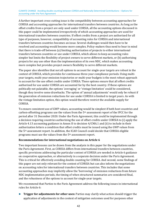A further important cross-cutting issue is the compatibility between accounting approaches for CORSIA and accounting approaches for international transfers between countries. As long as the offset credits from a project are only used under CORSIA, all the accounting options discussed in this paper could be implemented irrespectively of which accounting approaches are used for international transfers between countries. If offset credits from a project are authorized for all type of purposes, however, compatibility of accounting rules for CORSIA and international transfers between countries becomes an issue. Several challenges would then have to be resolved and accounting would become more complex. Policy-makers thus need to bear in mind that there is trade-off between (a) limiting authorization of projects to either international transfers between countries or use under CORSIA, which allows to keep accounting rules simpler but limits the flexibility of project owners to serve different markets, or (b) authorizing projects for any use other than the implementation of its own NDC, which makes accounting more complex but provides project owners flexibility to serve different markets.

The paper also identifies that not all options to account for single-year targets are robust in the context of CORSIA, which provides for continuous three-year compliance periods. Using multiyear targets, multi-year emission trajectories or multi-year budgets is the most robust approach to account for the use offset credits under CORSIA. These options ensure that all offset credits authorized for use under CORSIA are accounted for by the host country. If these options are politically not palatable, the options 'averaging' or 'vintage limitation' could be considered, though they involve some drawbacks. The option of 'annual adjustments' would only be robust if the generation of emission reductions for use under CORSIA is limited to target years. As with the vintage limitation option, this option would therefore restrict the available supply for CORSIA.

To ensure consistent use of GWP values, accounting would be simplest if both host countries and carbon-offsetting programs use the values from the 5th assessment report of the IPCC for the period after 31 December 2020. Under the Paris Agreement, this could be implemented through a decision requiring countries authorizing the use of offset credits under CORSIA to (i) apply the Article 4.13 accounting guidance in Annex II to decision 4/CMA.1 and (ii) to include in their authorization letters a condition that offset credits must be issued using the GWP values from the 5th assessment report. In addition, the ICAO Council could decide that CORSIA eligible programs must use the values from the 5th assessment report.

#### **Recommendations for international negotiations on Article 6**

Two important lessons can be drawn from the analysis in this paper for the negotiations under the Paris Agreement. First, as CORSIA differs from international transfers between countries, specific provisions addressing the particular context of CORSIA are needed in Article 6 guidance on cooperative approaches, or alternatively in a separate decision under the Paris Agreement. This is critical for effectively avoiding double counting for CORSIA. And second, some findings of this paper are not only relevant for the context of CORSIA but can also inform the negotiations on accounting rules for international transfers between countries. This includes that some accounting approaches may implicitly allow the 'borrowing' of emission reductions from future NDC implementation periods, the timing of when structured summaries are considered final, and the robustness of the options to account for single-year targets.

We recommend that Parties to the Paris Agreement address the following issues in international rules for Article 6:

► **Trigger for adjustments for other uses:** Parties may clarify what action should trigger the application of adjustments in the context of mitigation outcomes used for purposes other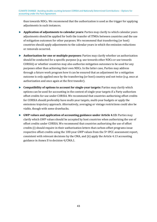than towards NDCs. We recommend that the authorization is used as the trigger for applying adjustments in such instances.

- ► **Application of adjustments to calendar years:** Parties may clarify to which calendar years adjustments should be applied for both the transfer of ITMOs between countries and the use of mitigation outcomes for other purposes. We recommend that transferring (or host) countries should apply adjustments to the calendar years in which the emission reductions or removals occurred.
- ► **Authorization for one or multiple purposes:** Parties may clarify whether an authorization should be conducted for a specific purpose (e.g. use towards other NDCs or use towards CORSIA) or whether countries may also authorize mitigation outcomes to be used for any purposes other than achieving their own NDCs. In the latter case, Parties may address through a future work program how it can be ensured that an adjustment for a mitigation outcome is only applied once by the transferring (or host) country and not twice (e.g. once at authorization and once again at the first transfer).
- ► **Compatibility of options to account for single-year targets:** Parties may clarify which options can be used for accounting in the context of single-year targets if a Party authorizes offset credits for use under CORSIA. We recommend that countries authorizing offset credits for CORSIA should preferably have multi-year targets, multi-year budgets or apply the emissions trajectory approach. Alternatively, averaging or vintage restrictions could also be viable, though with some drawbacks.
- ► **GWP values and application of accounting guidance under Article 4.13:** Parties may clarify which GWP values should be accepted by host countries when authorizing the use of offset credits under CORSIA. We recommend that countries authorizing the use of offset credits (i) should require in their authorization letters that carbon-offset programs issue respective offset credits using the 100-year GWP values from the 5th IPCC assessment report, consistent with relevant decisions by the CMA, and (ii) apply the Article 4.13 accounting guidance in Annex II to decision 4/CMA.1.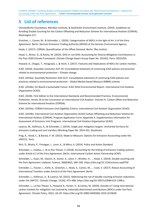CLIMATE CHANGE Avoiding double counting between CORSIA and Nationally Determined Contributions – Options for accounting under the Paris Agreement – **Fehler! Verweisquelle konnte nicht gefunden werden.**

# <span id="page-42-0"></span>**5 List of references**

ClimateWorks Foundation, Meridian Institute, & Stockholm Environment Institute. (2019). Guidelines on Avoiding Double Counting for the Carbon Offsetting and Reduction Scheme for International Aviation (CORSIA). Washington D.C.

Graichen, J., Cames, M., & Schneider, L. (2016). Categorization of INDCs in the light of Art. 6 of the Paris Agreement. Berlin: German Emissions Trading Authority (DEHSt) at the German Environment Agency.

Healy, S. (2017). CORSIA: Quantification of the Offset Demand. Berlin: Öko-Institut.

Hood, C., Briner, G., & Rocha, M. (2014). GHG or not GHG: Accounting for Diverse Mitigation Contributions in the Post-2020 Climate Framework. Climate Change Expert Group Paper No. 2014(2). Paris: OECD/IEA.

Howard, A., Chagas, T., Hoogzaad, J., & Hoch, S. (2017). Features and implications of NDCs for carbon markets.

ICAO. (2010). Assembly resolution A37-19: Consolidated statement of continuing ICAO policies and practices related to environmental protection – Climate change.

ICAO. (2016a). Assembly Resolution A39-22/2: Consolidated statement of continuing ICAO policies and practices related to environmental protection – Global Market-based Measure (MBM) scheme.

ICAO. (2016b). On Board a Sustainable Future. ICAO 2016 Environmental Report. International Civil Aviation Organization (ICAO).

ICAO. (2018). First Edition to the International Standards and Recommended Practices. Environmental Protection. Annex 16 to the Convention on International Civil Aviation. Volume IV. Carbon Offset and Reduction Scheme for International Aviation (CORSIA).

ICAO. (2019a). CORSIA Emissions Unit Eligibility Criteria. International Civil Aviation Organization (ICAO).

ICAO. (2019b). International Civil Aviation Organization (ICAO) Carbon Offsetting and Reduction Scheme for International Aviation (CORSIA). Program Application Form, Appendix A. Supplementary Information for Assessment of Emissions Unit Programs. International Civil Aviation Organization (ICAO).

Lazarus, M., Kollmuss, A., & Schneider, L. (2014). Single-year mitigation targets: Uncharted territory for emissions trading and unit transfers (Working Paper No. 2014–01). Stockholm.

Prag, A., Hood, C., & Barata, P. M. (2013). Made to Measure: Options for Emissions Accounting under the UNFCCC. Paris.

Rich, D., Bhatia, P., Finnegan, J., Levin, K., & Mitra, A. (2014). Policy and Action Standard.

Schneider, L., Cludius, J., & La Hoz Theuer, S. (2018). Accounting for the linking of emissions trading systems under Article 6.2 of the Paris Agreement. Berlin: International Carbon Action Partnership (ICAP).

Schneider, L., Duan, M., Stavins, R., Kizzier, K., Jotzo, F., Winkler, H., … Hood, C. (2019). Double counting and the Paris Agreement rulebook. Science, 366(6462), 180–183. https://doi.org/10.1126/science.aay8750

Schneider, L., Füssler, J., Kohli, A., Graichen, J., Healy, S., Cames, M., … Cook, V. (2017). Robust Accounting of International Transfers under Article 6 of the Paris Agreement. Berlin.

Schneider, L., Kollmuss, A., & Lazarus, M. (2015). Addressing the risk of double counting emission reductions under the UNFCCC. Climatic Change, 131(4), 473–486. https://doi.org/10.1007/s10584-015-1398-y

Schneider, L., La Hoz Theuer, S., Howard, A., Kizzier, K., & Cames, M. (2020). Outside in? Using international carbon markets for mitigation not covered by nationally determined contributions (NDCs) under the Paris Agreement. Climate Policy, 20(1), 18–29. https://doi.org/10.1080/14693062.2019.1674628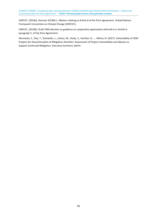UNFCCC. (2019a). Decision X/CMA.1. Matters relating to Article 6 of the Paris Agreement. United Nations Framework Convention on Climate Change (UNFCCC).

UNFCCC. (2019b). Draft CMA decision on guidance on cooperative approaches referred to in Article 6, paragraph 2, of the Paris Agreement.

Warnecke, C., Day, T., Schneider, L., Cames, M., Healy, S., Harthan, R., … Höhne, N. (2017). Vulnerability of CDM Projects for Discontinuation of Mitigation Activities: Assessment of Project Vulnerability and Options to Support Continued Mitigation. Executive Summary. Berlin.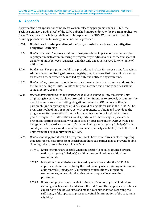## <span id="page-44-0"></span>**A Appendix**

As part of the first application window for carbon-offsetting programs under CORSIA, the Technical Advisory Body (TAB) of the ICAO published an Appendix A to the program application form. This Appendix includes guidelines for interpreting the EUCs. With respect to double counting provisions, the following Guidelines were provided:

#### **3.7.4. Guidelines for interpretation of the "Only counted once towards a mitigation obligation" criterion**

- 3.7.5. *Double-issuance*: The program should have procedures in place for program and/or registry administrator monitoring of program registry(ies) to ensure the transparent transfer of units between registries; and that only one unit is issued for one tonne of mitigation.
- 3.7.6. *Double-use*: The program should have procedures in place for program and/or registry administrator monitoring of program registry(ies) to ensure that one unit is issued or transferred to, or owned or cancelled by, only one entity at any given time.
- 3.7.7. *Double-selling*: Programs should have procedures in place to discourage and prohibit the double-selling of units. Double selling occurs when one or more entities sell the same unit more than once.
- 3.7.8. *Host country attestation to the avoidance of double-claiming*: Only emissions units originating in countries that have attested to their intention to properly account for the use of the units toward offsetting obligations under the CORSIA, as specified in paragraph (and subparagraphs of) 3.7.9, should be eligible for use in the CORSIA. The program should obtain, or require activity proponents to obtain and provide to the program, written attestation from the host country's national focal point or focal point's designee. The attestation should specify, and describe any steps taken, to prevent mitigation associated with units used by operators under CORSIA from also being claimed toward a host country's national mitigation target(s) / pledge(s). Host country attestations should be obtained and made publicly available prior to the use of units from the host country in the CORSIA.
- 3.7.9. *Double-claiming procedures*: The program should have procedures in place requiring that activities take approach(es) described in these sub-paragraphs to prevent doubleclaiming, which attestations should confirm:
	- 3.7.9.1. Emissions units are created where mitigation is not also counted toward national target(s) / pledge(s) / mitigation contributions / mitigation commitments.
	- 3.7.9.2. Mitigation from emissions units used by operators under the CORSIA is appropriately accounted for by the host country when claiming achievement of its target(s) / pledges(s) / mitigation contributions / mitigation commitments, in line with the relevant and applicable international provisions.
	- 3.7.9.3. If program procedures provide for the use of method(s) to avoid doubleclaiming which are not listed above, the GMTF, or other appropriate technical expert body, should evaluate and make a recommendation regarding the sufficiency of the approach prior to any final determination of the program's eligibility.